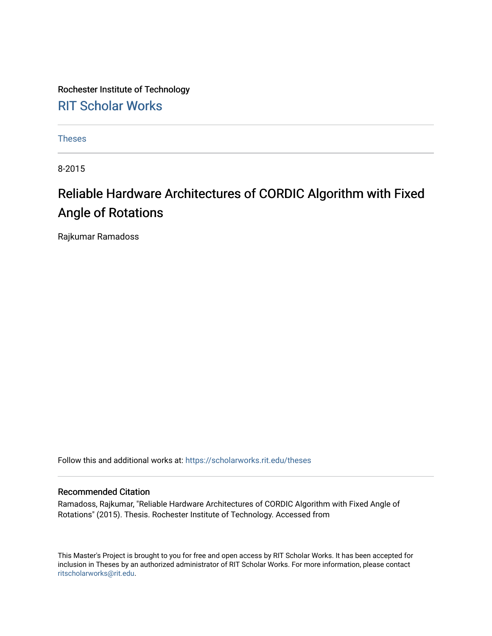Rochester Institute of Technology [RIT Scholar Works](https://scholarworks.rit.edu/)

[Theses](https://scholarworks.rit.edu/theses) 

8-2015

### Reliable Hardware Architectures of CORDIC Algorithm with Fixed Angle of Rotations

Rajkumar Ramadoss

Follow this and additional works at: [https://scholarworks.rit.edu/theses](https://scholarworks.rit.edu/theses?utm_source=scholarworks.rit.edu%2Ftheses%2F8782&utm_medium=PDF&utm_campaign=PDFCoverPages) 

#### Recommended Citation

Ramadoss, Rajkumar, "Reliable Hardware Architectures of CORDIC Algorithm with Fixed Angle of Rotations" (2015). Thesis. Rochester Institute of Technology. Accessed from

This Master's Project is brought to you for free and open access by RIT Scholar Works. It has been accepted for inclusion in Theses by an authorized administrator of RIT Scholar Works. For more information, please contact [ritscholarworks@rit.edu](mailto:ritscholarworks@rit.edu).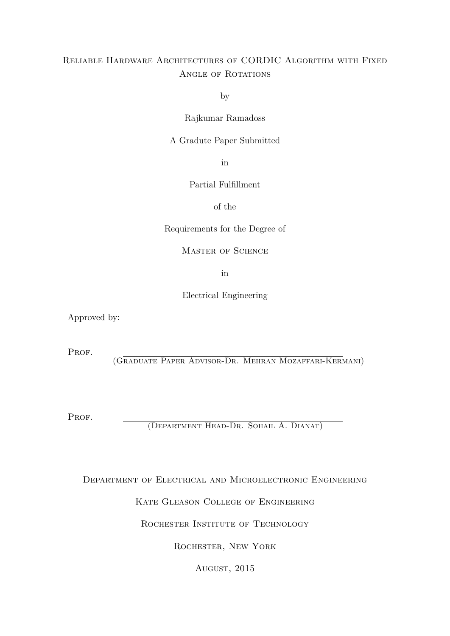#### Reliable Hardware Architectures of CORDIC Algorithm with Fixed ANGLE OF ROTATIONS

by

Rajkumar Ramadoss

A Gradute Paper Submitted

in

Partial Fulfillment

of the

Requirements for the Degree of

Master of Science

in

Electrical Engineering

Approved by:

PROF.

(Graduate Paper Advisor-Dr. Mehran Mozaffari-Kermani)

PROF.

(Department Head-Dr. Sohail A. Dianat)

Department of Electrical and Microelectronic Engineering

Kate Gleason College of Engineering

ROCHESTER INSTITUTE OF TECHNOLOGY

Rochester, New York

AUGUST, 2015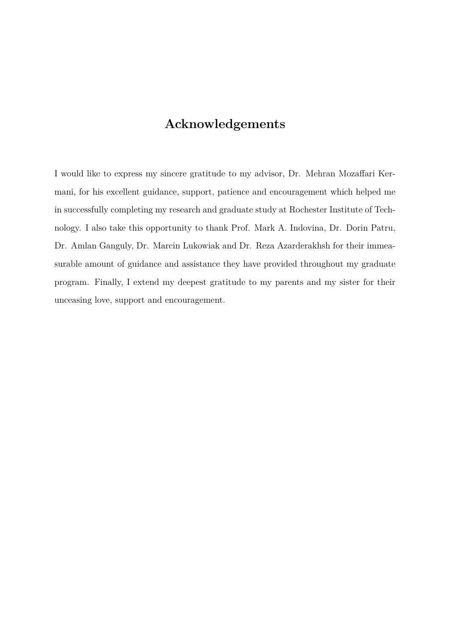### **Acknowledgements**

I would like to express my sincere gratitude to my advisor, Dr. Mehran Mozaffari Kermani, for his excellent guidance, support, patience and encouragement which helped me in successfully completing my research and graduate study at Rochester Institute of Technology. I also take this opportunity to thank Prof. Mark A. Indovina, Dr. Dorin Patru, Dr. Amlan Ganguly, Dr. Marcin Lukowiak and Dr. Reza Azarderakhsh for their immeasurable amount of guidance and assistance they have provided throughout my graduate program. Finally, I extend my deepest gratitude to my parents and my sister for their unceasing love, support and encouragement.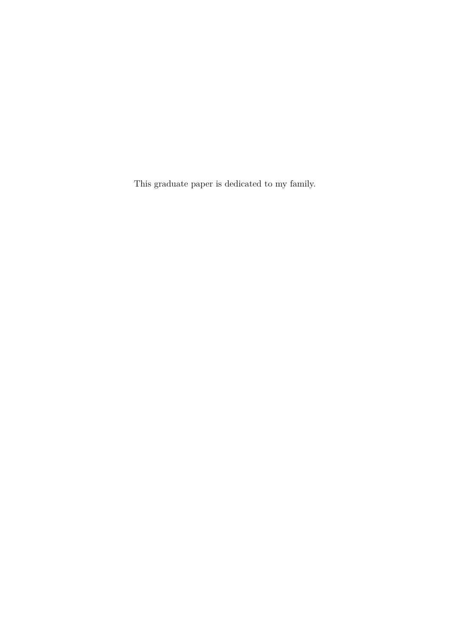This graduate paper is dedicated to my family.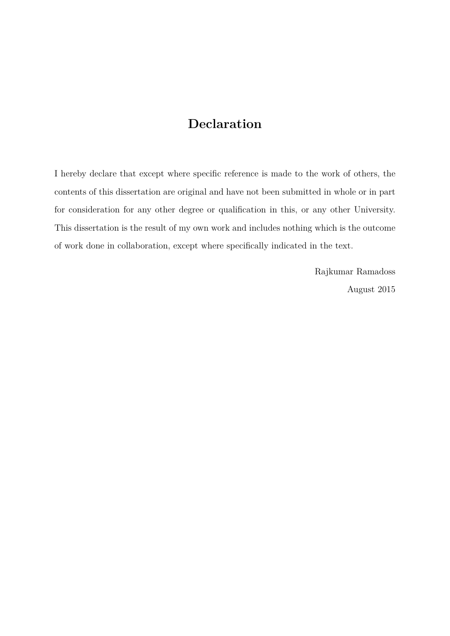### **Declaration**

I hereby declare that except where specific reference is made to the work of others, the contents of this dissertation are original and have not been submitted in whole or in part for consideration for any other degree or qualification in this, or any other University. This dissertation is the result of my own work and includes nothing which is the outcome of work done in collaboration, except where specifically indicated in the text.

> Rajkumar Ramadoss August 2015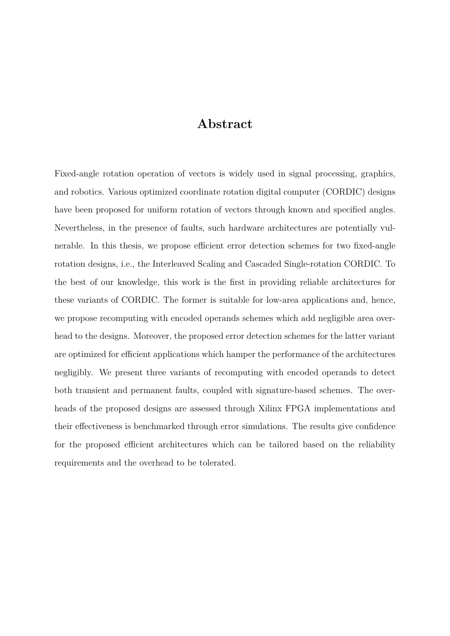#### **Abstract**

Fixed-angle rotation operation of vectors is widely used in signal processing, graphics, and robotics. Various optimized coordinate rotation digital computer (CORDIC) designs have been proposed for uniform rotation of vectors through known and specified angles. Nevertheless, in the presence of faults, such hardware architectures are potentially vulnerable. In this thesis, we propose efficient error detection schemes for two fixed-angle rotation designs, i.e., the Interleaved Scaling and Cascaded Single-rotation CORDIC. To the best of our knowledge, this work is the first in providing reliable architectures for these variants of CORDIC. The former is suitable for low-area applications and, hence, we propose recomputing with encoded operands schemes which add negligible area overhead to the designs. Moreover, the proposed error detection schemes for the latter variant are optimized for efficient applications which hamper the performance of the architectures negligibly. We present three variants of recomputing with encoded operands to detect both transient and permanent faults, coupled with signature-based schemes. The overheads of the proposed designs are assessed through Xilinx FPGA implementations and their effectiveness is benchmarked through error simulations. The results give confidence for the proposed efficient architectures which can be tailored based on the reliability requirements and the overhead to be tolerated.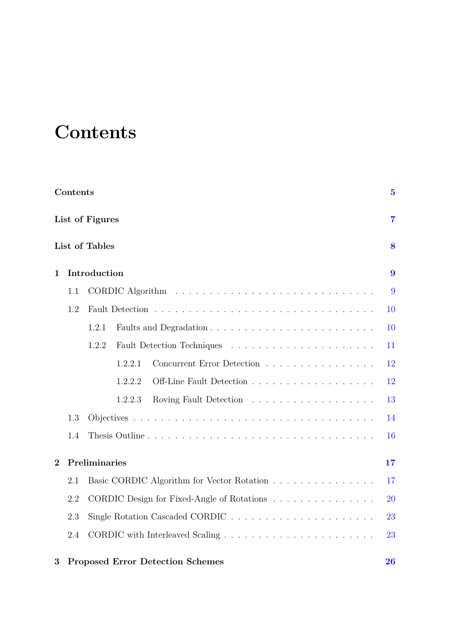## <span id="page-6-0"></span>**Contents**

|              | Contents |                                            | $\overline{5}$ |
|--------------|----------|--------------------------------------------|----------------|
|              |          | List of Figures                            | $\overline{7}$ |
|              |          | List of Tables                             | 8              |
| 1            |          | Introduction                               | 9              |
|              | 1.1      |                                            | 9              |
|              | 1.2      |                                            | 10             |
|              |          | 1.2.1                                      | 10             |
|              |          | 1.2.2                                      | 11             |
|              |          | Concurrent Error Detection<br>1.2.2.1      | 12             |
|              |          | 1.2.2.2                                    | 12             |
|              |          | Roving Fault Detection<br>1.2.2.3          | 13             |
|              | 1.3      |                                            | 14             |
|              | 1.4      |                                            | 16             |
| $\mathbf{2}$ |          | Preliminaries                              | 17             |
|              | 2.1      | Basic CORDIC Algorithm for Vector Rotation | 17             |
|              | 2.2      | CORDIC Design for Fixed-Angle of Rotations | 20             |
|              | 2.3      |                                            | 23             |
|              | 2.4      |                                            | 23             |
|              |          |                                            |                |

#### **3 Proposed Error Detection Schemes [26](#page-27-0)**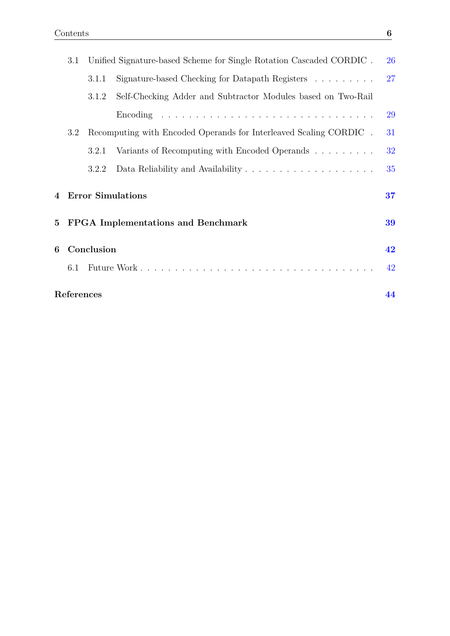|                  | 3.1        |            | Unified Signature-based Scheme for Single Rotation Cascaded CORDIC.    | 26 |
|------------------|------------|------------|------------------------------------------------------------------------|----|
|                  |            | 3.1.1      | Signature-based Checking for Datapath Registers $\ldots \ldots \ldots$ | 27 |
|                  |            | 3.1.2      | Self-Checking Adder and Subtractor Modules based on Two-Rail           |    |
|                  |            |            |                                                                        | 29 |
|                  | 3.2        |            | Recomputing with Encoded Operands for Interleaved Scaling CORDIC.      | 31 |
|                  |            | 3.2.1      | Variants of Recomputing with Encoded Operands                          | 32 |
|                  |            | 3.2.2      |                                                                        | 35 |
| $\boldsymbol{4}$ |            |            | <b>Error Simulations</b>                                               | 37 |
| $5\,$            |            |            | <b>FPGA</b> Implementations and Benchmark                              | 39 |
| 6                |            | Conclusion |                                                                        | 42 |
|                  | 6.1        |            |                                                                        | 42 |
|                  | References |            |                                                                        | 44 |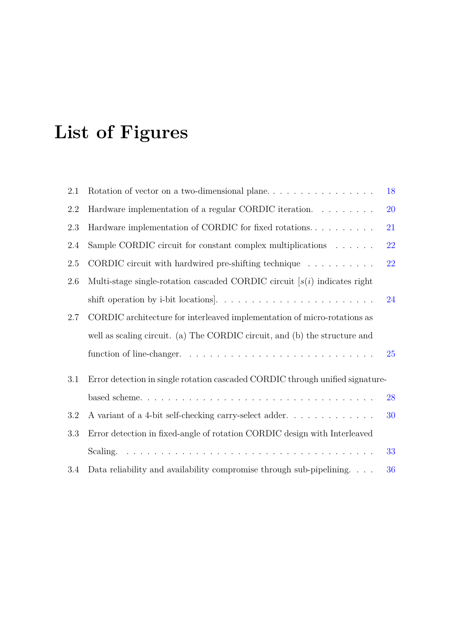## <span id="page-8-0"></span>**List of Figures**

| 2.1     | Rotation of vector on a two-dimensional plane                                 | 18 |
|---------|-------------------------------------------------------------------------------|----|
| 2.2     | Hardware implementation of a regular CORDIC iteration.                        | 20 |
| 2.3     | Hardware implementation of CORDIC for fixed rotations                         | 21 |
| $2.4\,$ | Sample CORDIC circuit for constant complex multiplications $\ldots \ldots$    | 22 |
| $2.5\,$ | CORDIC circuit with hardwired pre-shifting technique $\ldots \ldots \ldots$   | 22 |
| 2.6     | Multi-stage single-rotation cascaded CORDIC circuit $[s(i)]$ indicates right  |    |
|         |                                                                               | 24 |
| 2.7     | CORDIC architecture for interleaved implementation of micro-rotations as      |    |
|         | well as scaling circuit. (a) The CORDIC circuit, and (b) the structure and    |    |
|         |                                                                               | 25 |
| 3.1     | Error detection in single rotation cascaded CORDIC through unified signature- |    |
|         |                                                                               | 28 |
| 3.2     | A variant of a 4-bit self-checking carry-select adder                         | 30 |
| 3.3     | Error detection in fixed-angle of rotation CORDIC design with Interleaved     |    |
|         |                                                                               | 33 |
| 3.4     | Data reliability and availability compromise through sub-pipelining.          | 36 |
|         |                                                                               |    |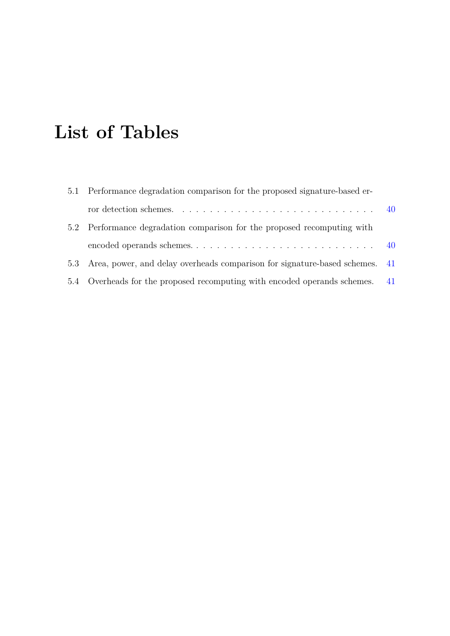## <span id="page-9-0"></span>**List of Tables**

| 5.1 | Performance degradation comparison for the proposed signature-based er-         |    |
|-----|---------------------------------------------------------------------------------|----|
|     |                                                                                 |    |
|     | 5.2 Performance degradation comparison for the proposed recomputing with        |    |
|     |                                                                                 |    |
|     | 5.3 Area, power, and delay overheads comparison for signature-based schemes. 41 |    |
|     | 5.4 Overheads for the proposed recomputing with encoded operands schemes.       | 41 |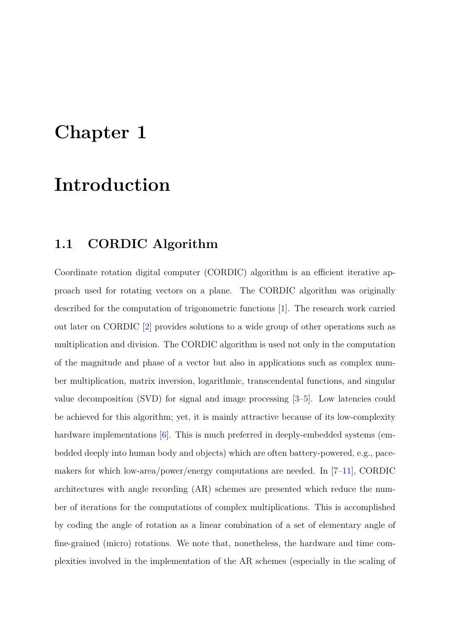## <span id="page-10-0"></span>**Chapter 1**

### **Introduction**

### <span id="page-10-1"></span>**1.1 CORDIC Algorithm**

Coordinate rotation digital computer (CORDIC) algorithm is an efficient iterative approach used for rotating vectors on a plane. The CORDIC algorithm was originally described for the computation of trigonometric functions [\[1\]](#page-45-1). The research work carried out later on CORDIC [\[2\]](#page-45-2) provides solutions to a wide group of other operations such as multiplication and division. The CORDIC algorithm is used not only in the computation of the magnitude and phase of a vector but also in applications such as complex number multiplication, matrix inversion, logarithmic, transcendental functions, and singular value decomposition (SVD) for signal and image processing  $[3-5]$  $[3-5]$ . Low latencies could be achieved for this algorithm; yet, it is mainly attractive because of its low-complexity hardware implementations [\[6\]](#page-45-5). This is much preferred in deeply-embedded systems (embedded deeply into human body and objects) which are often battery-powered, e.g., pacemakers for which low-area/power/energy computations are needed. In [\[7–](#page-45-6)[11\]](#page-46-0), CORDIC architectures with angle recording (AR) schemes are presented which reduce the number of iterations for the computations of complex multiplications. This is accomplished by coding the angle of rotation as a linear combination of a set of elementary angle of fine-grained (micro) rotations. We note that, nonetheless, the hardware and time complexities involved in the implementation of the AR schemes (especially in the scaling of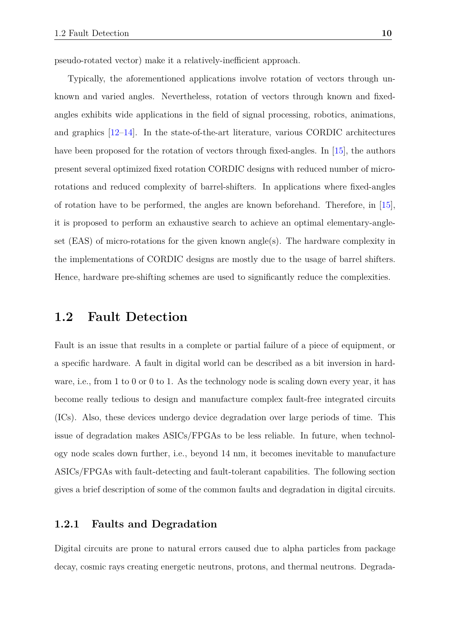pseudo-rotated vector) make it a relatively-inefficient approach.

Typically, the aforementioned applications involve rotation of vectors through unknown and varied angles. Nevertheless, rotation of vectors through known and fixedangles exhibits wide applications in the field of signal processing, robotics, animations, and graphics  $[12-14]$  $[12-14]$ . In the state-of-the-art literature, various CORDIC architectures have been proposed for the rotation of vectors through fixed-angles. In [\[15\]](#page-46-3), the authors present several optimized fixed rotation CORDIC designs with reduced number of microrotations and reduced complexity of barrel-shifters. In applications where fixed-angles of rotation have to be performed, the angles are known beforehand. Therefore, in [\[15\]](#page-46-3), it is proposed to perform an exhaustive search to achieve an optimal elementary-angleset (EAS) of micro-rotations for the given known angle(s). The hardware complexity in the implementations of CORDIC designs are mostly due to the usage of barrel shifters. Hence, hardware pre-shifting schemes are used to significantly reduce the complexities.

#### <span id="page-11-0"></span>**1.2 Fault Detection**

Fault is an issue that results in a complete or partial failure of a piece of equipment, or a specific hardware. A fault in digital world can be described as a bit inversion in hardware, i.e., from 1 to 0 or 0 to 1. As the technology node is scaling down every year, it has become really tedious to design and manufacture complex fault-free integrated circuits (ICs). Also, these devices undergo device degradation over large periods of time. This issue of degradation makes ASICs/FPGAs to be less reliable. In future, when technology node scales down further, i.e., beyond 14 nm, it becomes inevitable to manufacture ASICs/FPGAs with fault-detecting and fault-tolerant capabilities. The following section gives a brief description of some of the common faults and degradation in digital circuits.

#### <span id="page-11-1"></span>**1.2.1 Faults and Degradation**

Digital circuits are prone to natural errors caused due to alpha particles from package decay, cosmic rays creating energetic neutrons, protons, and thermal neutrons. Degrada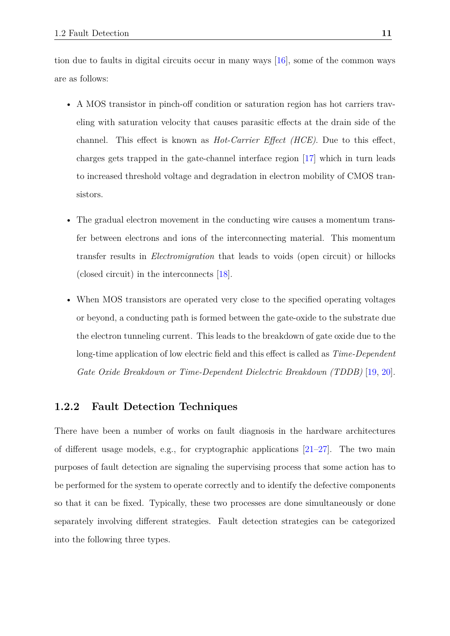tion due to faults in digital circuits occur in many ways [\[16\]](#page-46-4), some of the common ways are as follows:

- A MOS transistor in pinch-off condition or saturation region has hot carriers traveling with saturation velocity that causes parasitic effects at the drain side of the channel. This effect is known as *Hot-Carrier Effect (HCE)*. Due to this effect, charges gets trapped in the gate-channel interface region [\[17\]](#page-46-5) which in turn leads to increased threshold voltage and degradation in electron mobility of CMOS transistors.
- The gradual electron movement in the conducting wire causes a momentum transfer between electrons and ions of the interconnecting material. This momentum transfer results in *Electromigration* that leads to voids (open circuit) or hillocks (closed circuit) in the interconnects [\[18\]](#page-47-0).
- When MOS transistors are operated very close to the specified operating voltages or beyond, a conducting path is formed between the gate-oxide to the substrate due the electron tunneling current. This leads to the breakdown of gate oxide due to the long-time application of low electric field and this effect is called as *Time-Dependent Gate Oxide Breakdown or Time-Dependent Dielectric Breakdown (TDDB)* [\[19,](#page-47-1) [20\]](#page-47-2).

#### <span id="page-12-0"></span>**1.2.2 Fault Detection Techniques**

There have been a number of works on fault diagnosis in the hardware architectures of different usage models, e.g., for cryptographic applications  $[21-27]$  $[21-27]$ . The two main purposes of fault detection are signaling the supervising process that some action has to be performed for the system to operate correctly and to identify the defective components so that it can be fixed. Typically, these two processes are done simultaneously or done separately involving different strategies. Fault detection strategies can be categorized into the following three types.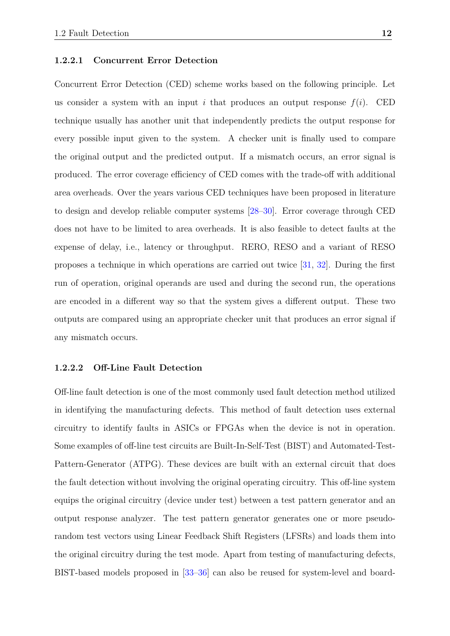#### <span id="page-13-0"></span>**1.2.2.1 Concurrent Error Detection**

Concurrent Error Detection (CED) scheme works based on the following principle. Let us consider a system with an input *i* that produces an output response  $f(i)$ . CED technique usually has another unit that independently predicts the output response for every possible input given to the system. A checker unit is finally used to compare the original output and the predicted output. If a mismatch occurs, an error signal is produced. The error coverage efficiency of CED comes with the trade-off with additional area overheads. Over the years various CED techniques have been proposed in literature to design and develop reliable computer systems [\[28–](#page-48-1)[30\]](#page-48-2). Error coverage through CED does not have to be limited to area overheads. It is also feasible to detect faults at the expense of delay, i.e., latency or throughput. RERO, RESO and a variant of RESO proposes a technique in which operations are carried out twice [\[31,](#page-48-3) [32\]](#page-48-4). During the first run of operation, original operands are used and during the second run, the operations are encoded in a different way so that the system gives a different output. These two outputs are compared using an appropriate checker unit that produces an error signal if any mismatch occurs.

#### <span id="page-13-1"></span>**1.2.2.2 Off-Line Fault Detection**

Off-line fault detection is one of the most commonly used fault detection method utilized in identifying the manufacturing defects. This method of fault detection uses external circuitry to identify faults in ASICs or FPGAs when the device is not in operation. Some examples of off-line test circuits are Built-In-Self-Test (BIST) and Automated-Test-Pattern-Generator (ATPG). These devices are built with an external circuit that does the fault detection without involving the original operating circuitry. This off-line system equips the original circuitry (device under test) between a test pattern generator and an output response analyzer. The test pattern generator generates one or more pseudorandom test vectors using Linear Feedback Shift Registers (LFSRs) and loads them into the original circuitry during the test mode. Apart from testing of manufacturing defects, BIST-based models proposed in [\[33](#page-48-5)[–36\]](#page-49-0) can also be reused for system-level and board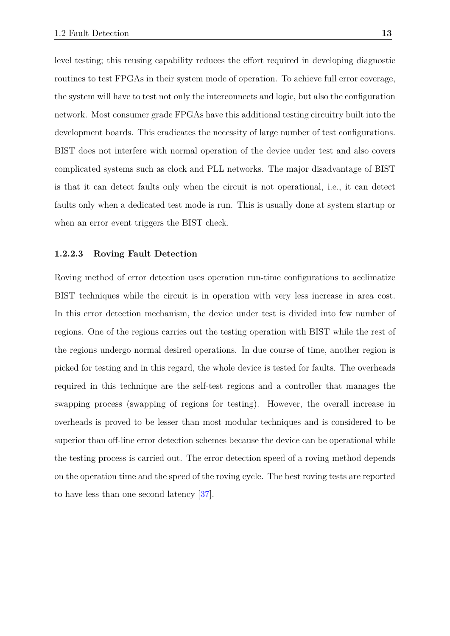level testing; this reusing capability reduces the effort required in developing diagnostic routines to test FPGAs in their system mode of operation. To achieve full error coverage, the system will have to test not only the interconnects and logic, but also the configuration network. Most consumer grade FPGAs have this additional testing circuitry built into the development boards. This eradicates the necessity of large number of test configurations. BIST does not interfere with normal operation of the device under test and also covers complicated systems such as clock and PLL networks. The major disadvantage of BIST is that it can detect faults only when the circuit is not operational, i.e., it can detect faults only when a dedicated test mode is run. This is usually done at system startup or when an error event triggers the BIST check.

#### <span id="page-14-0"></span>**1.2.2.3 Roving Fault Detection**

Roving method of error detection uses operation run-time configurations to acclimatize BIST techniques while the circuit is in operation with very less increase in area cost. In this error detection mechanism, the device under test is divided into few number of regions. One of the regions carries out the testing operation with BIST while the rest of the regions undergo normal desired operations. In due course of time, another region is picked for testing and in this regard, the whole device is tested for faults. The overheads required in this technique are the self-test regions and a controller that manages the swapping process (swapping of regions for testing). However, the overall increase in overheads is proved to be lesser than most modular techniques and is considered to be superior than off-line error detection schemes because the device can be operational while the testing process is carried out. The error detection speed of a roving method depends on the operation time and the speed of the roving cycle. The best roving tests are reported to have less than one second latency [\[37\]](#page-49-1).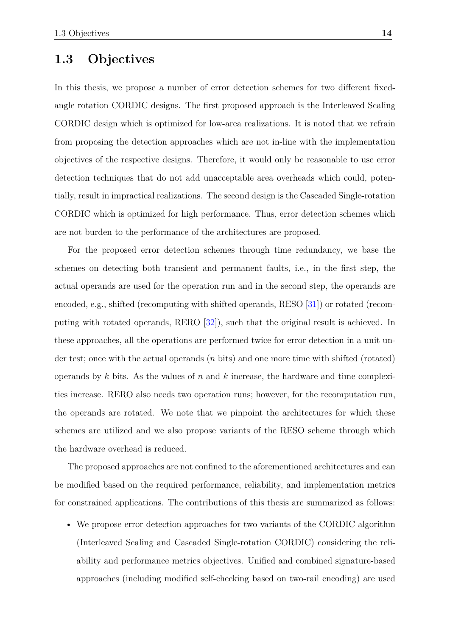### <span id="page-15-0"></span>**1.3 Objectives**

In this thesis, we propose a number of error detection schemes for two different fixedangle rotation CORDIC designs. The first proposed approach is the Interleaved Scaling CORDIC design which is optimized for low-area realizations. It is noted that we refrain from proposing the detection approaches which are not in-line with the implementation objectives of the respective designs. Therefore, it would only be reasonable to use error detection techniques that do not add unacceptable area overheads which could, potentially, result in impractical realizations. The second design is the Cascaded Single-rotation CORDIC which is optimized for high performance. Thus, error detection schemes which are not burden to the performance of the architectures are proposed.

For the proposed error detection schemes through time redundancy, we base the schemes on detecting both transient and permanent faults, i.e., in the first step, the actual operands are used for the operation run and in the second step, the operands are encoded, e.g., shifted (recomputing with shifted operands, RESO [\[31\]](#page-48-3)) or rotated (recomputing with rotated operands, RERO [\[32\]](#page-48-4)), such that the original result is achieved. In these approaches, all the operations are performed twice for error detection in a unit under test; once with the actual operands (*n* bits) and one more time with shifted (rotated) operands by *k* bits. As the values of *n* and *k* increase, the hardware and time complexities increase. RERO also needs two operation runs; however, for the recomputation run, the operands are rotated. We note that we pinpoint the architectures for which these schemes are utilized and we also propose variants of the RESO scheme through which the hardware overhead is reduced.

The proposed approaches are not confined to the aforementioned architectures and can be modified based on the required performance, reliability, and implementation metrics for constrained applications. The contributions of this thesis are summarized as follows:

• We propose error detection approaches for two variants of the CORDIC algorithm (Interleaved Scaling and Cascaded Single-rotation CORDIC) considering the reliability and performance metrics objectives. Unified and combined signature-based approaches (including modified self-checking based on two-rail encoding) are used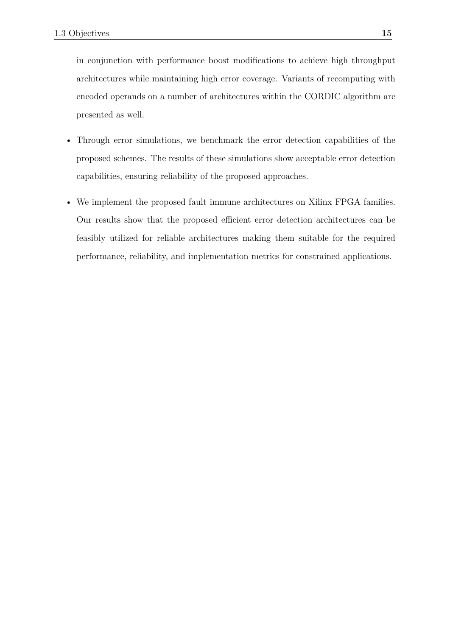in conjunction with performance boost modifications to achieve high throughput architectures while maintaining high error coverage. Variants of recomputing with encoded operands on a number of architectures within the CORDIC algorithm are presented as well.

- Through error simulations, we benchmark the error detection capabilities of the proposed schemes. The results of these simulations show acceptable error detection capabilities, ensuring reliability of the proposed approaches.
- We implement the proposed fault immune architectures on Xilinx FPGA families. Our results show that the proposed efficient error detection architectures can be feasibly utilized for reliable architectures making them suitable for the required performance, reliability, and implementation metrics for constrained applications.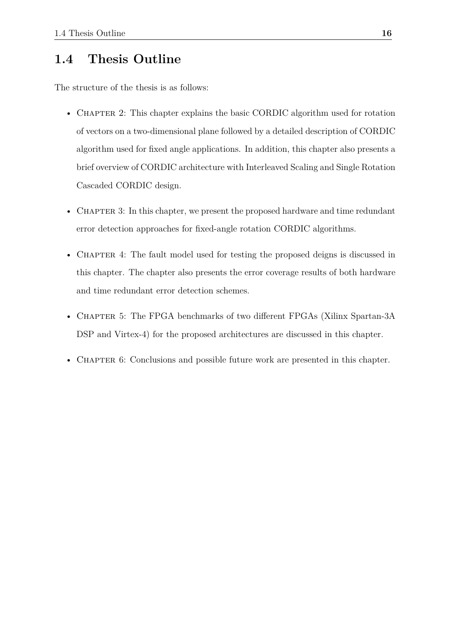### <span id="page-17-0"></span>**1.4 Thesis Outline**

The structure of the thesis is as follows:

- CHAPTER 2: This chapter explains the basic CORDIC algorithm used for rotation of vectors on a two-dimensional plane followed by a detailed description of CORDIC algorithm used for fixed angle applications. In addition, this chapter also presents a brief overview of CORDIC architecture with Interleaved Scaling and Single Rotation Cascaded CORDIC design.
- CHAPTER 3: In this chapter, we present the proposed hardware and time redundant error detection approaches for fixed-angle rotation CORDIC algorithms.
- CHAPTER 4: The fault model used for testing the proposed deigns is discussed in this chapter. The chapter also presents the error coverage results of both hardware and time redundant error detection schemes.
- CHAPTER 5: The FPGA benchmarks of two different FPGAs (Xilinx Spartan-3A) DSP and Virtex-4) for the proposed architectures are discussed in this chapter.
- CHAPTER 6: Conclusions and possible future work are presented in this chapter.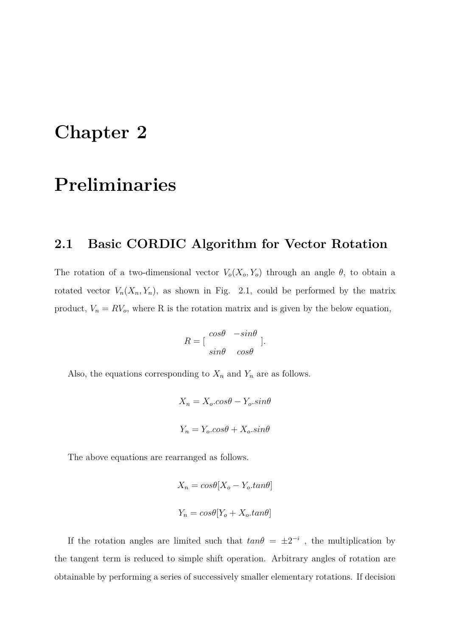## <span id="page-18-0"></span>**Chapter 2**

## **Preliminaries**

### <span id="page-18-1"></span>**2.1 Basic CORDIC Algorithm for Vector Rotation**

The rotation of a two-dimensional vector  $V_o(X_o, Y_o)$  through an angle  $\theta$ , to obtain a rotated vector  $V_n(X_n, Y_n)$ , as shown in Fig. 2.1, could be performed by the matrix product,  $V_n = RV_o$ , where R is the rotation matrix and is given by the below equation,

$$
R = \left[\begin{array}{cc} \cos\theta & -\sin\theta \\ \sin\theta & \cos\theta \end{array}\right].
$$

Also, the equations corresponding to  $X_n$  and  $Y_n$  are as follows.

$$
X_n = X_o \cdot \cos\theta - Y_o \cdot \sin\theta
$$
  

$$
Y_n = Y_o \cdot \cos\theta + X_o \cdot \sin\theta
$$

The above equations are rearranged as follows.

$$
X_n = cos\theta[X_o - Y_o, tan\theta]
$$
  

$$
Y_n = cos\theta[Y_o + X_o, tan\theta]
$$

If the rotation angles are limited such that  $tan\theta = \pm 2^{-i}$ , the multiplication by the tangent term is reduced to simple shift operation. Arbitrary angles of rotation are obtainable by performing a series of successively smaller elementary rotations. If decision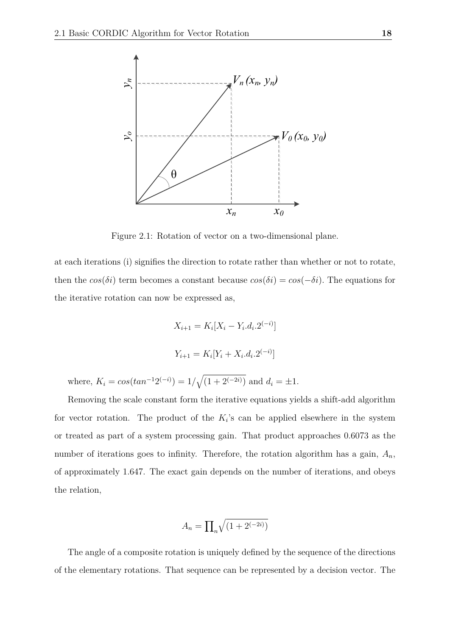

<span id="page-19-0"></span>Figure 2.1: Rotation of vector on a two-dimensional plane.

at each iterations (i) signifies the direction to rotate rather than whether or not to rotate, then the  $cos(\delta i)$  term becomes a constant because  $cos(\delta i) = cos(-\delta i)$ . The equations for the iterative rotation can now be expressed as,

$$
X_{i+1} = K_i[X_i - Y_i.d_i.2^{(-i)}]
$$
  

$$
Y_{i+1} = K_i[Y_i + X_i.d_i.2^{(-i)}]
$$

where,  $K_i = \cos(\tan^{-1} 2^{(-i)}) = 1/\sqrt{(1 + 2^{(-2i)})}$  and  $d_i = \pm 1$ .

Removing the scale constant form the iterative equations yields a shift-add algorithm for vector rotation. The product of the  $K_i$ 's can be applied elsewhere in the system or treated as part of a system processing gain. That product approaches 0.6073 as the number of iterations goes to infinity. Therefore, the rotation algorithm has a gain,  $A_n$ , of approximately 1.647. The exact gain depends on the number of iterations, and obeys the relation,

$$
A_n = \prod_n \sqrt{(1 + 2^{(-2i)})}
$$

The angle of a composite rotation is uniquely defined by the sequence of the directions of the elementary rotations. That sequence can be represented by a decision vector. The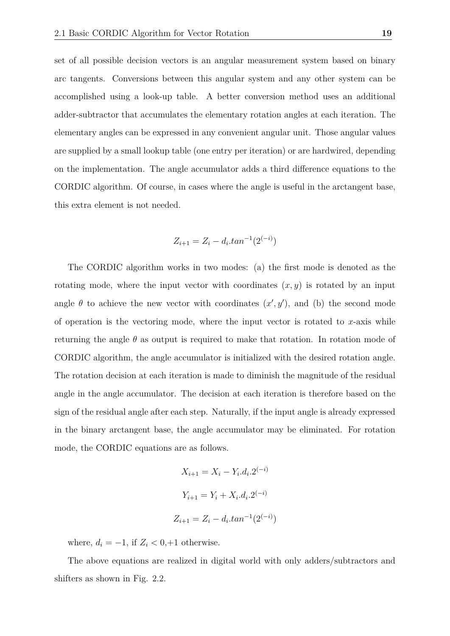set of all possible decision vectors is an angular measurement system based on binary arc tangents. Conversions between this angular system and any other system can be accomplished using a look-up table. A better conversion method uses an additional adder-subtractor that accumulates the elementary rotation angles at each iteration. The elementary angles can be expressed in any convenient angular unit. Those angular values are supplied by a small lookup table (one entry per iteration) or are hardwired, depending on the implementation. The angle accumulator adds a third difference equations to the CORDIC algorithm. Of course, in cases where the angle is useful in the arctangent base, this extra element is not needed.

$$
Z_{i+1} = Z_i - d_i \cdot \tan^{-1}(2^{(-i)})
$$

The CORDIC algorithm works in two modes: (a) the first mode is denoted as the rotating mode, where the input vector with coordinates  $(x, y)$  is rotated by an input angle  $\theta$  to achieve the new vector with coordinates  $(x', y')$ , and (b) the second mode of operation is the vectoring mode, where the input vector is rotated to *x*-axis while returning the angle *θ* as output is required to make that rotation. In rotation mode of CORDIC algorithm, the angle accumulator is initialized with the desired rotation angle. The rotation decision at each iteration is made to diminish the magnitude of the residual angle in the angle accumulator. The decision at each iteration is therefore based on the sign of the residual angle after each step. Naturally, if the input angle is already expressed in the binary arctangent base, the angle accumulator may be eliminated. For rotation mode, the CORDIC equations are as follows.

$$
X_{i+1} = X_i - Y_i \cdot d_i \cdot 2^{(-i)}
$$
  

$$
Y_{i+1} = Y_i + X_i \cdot d_i \cdot 2^{(-i)}
$$
  

$$
Z_{i+1} = Z_i - d_i \cdot \tan^{-1}(2^{(-i)})
$$

)

where,  $d_i = -1$ , if  $Z_i < 0, +1$  otherwise.

The above equations are realized in digital world with only adders/subtractors and shifters as shown in Fig. 2.2.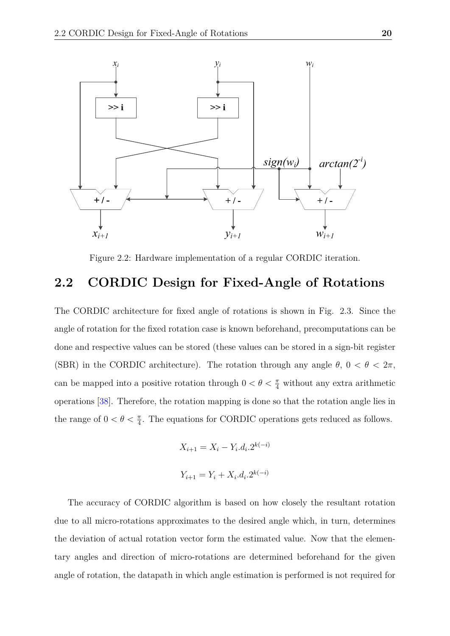

<span id="page-21-1"></span>Figure 2.2: Hardware implementation of a regular CORDIC iteration.

### <span id="page-21-0"></span>**2.2 CORDIC Design for Fixed-Angle of Rotations**

The CORDIC architecture for fixed angle of rotations is shown in Fig. 2.3. Since the angle of rotation for the fixed rotation case is known beforehand, precomputations can be done and respective values can be stored (these values can be stored in a sign-bit register (SBR) in the CORDIC architecture). The rotation through any angle  $\theta$ ,  $0 < \theta < 2\pi$ , can be mapped into a positive rotation through  $0 < \theta < \frac{\pi}{4}$  without any extra arithmetic operations [\[38\]](#page-49-2). Therefore, the rotation mapping is done so that the rotation angle lies in the range of  $0 < \theta < \frac{\pi}{4}$ . The equations for CORDIC operations gets reduced as follows.

$$
X_{i+1} = X_i - Y_i.d_i.2^{k(-i)}
$$
  

$$
Y_{i+1} = Y_i + X_i.d_i.2^{k(-i)}
$$

The accuracy of CORDIC algorithm is based on how closely the resultant rotation due to all micro-rotations approximates to the desired angle which, in turn, determines the deviation of actual rotation vector form the estimated value. Now that the elementary angles and direction of micro-rotations are determined beforehand for the given angle of rotation, the datapath in which angle estimation is performed is not required for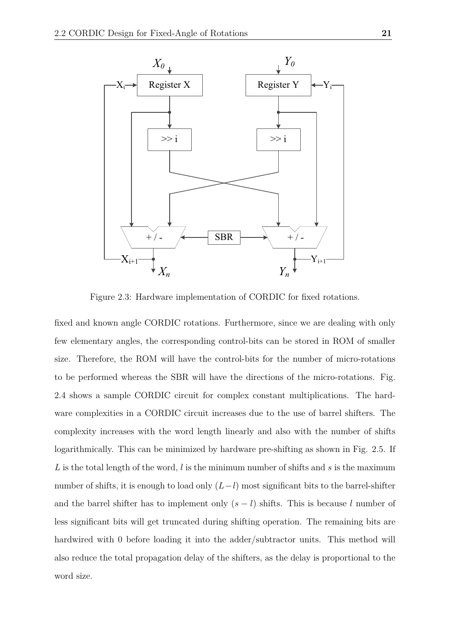

<span id="page-22-0"></span>Figure 2.3: Hardware implementation of CORDIC for fixed rotations.

fixed and known angle CORDIC rotations. Furthermore, since we are dealing with only few elementary angles, the corresponding control-bits can be stored in ROM of smaller size. Therefore, the ROM will have the control-bits for the number of micro-rotations to be performed whereas the SBR will have the directions of the micro-rotations. Fig. 2.4 shows a sample CORDIC circuit for complex constant multiplications. The hardware complexities in a CORDIC circuit increases due to the use of barrel shifters. The complexity increases with the word length linearly and also with the number of shifts logarithmically. This can be minimized by hardware pre-shifting as shown in Fig. 2.5. If *L* is the total length of the word, *l* is the minimum number of shifts and *s* is the maximum number of shifts, it is enough to load only (*L*−*l*) most significant bits to the barrel-shifter and the barrel shifter has to implement only  $(s - l)$  shifts. This is because *l* number of less significant bits will get truncated during shifting operation. The remaining bits are hardwired with 0 before loading it into the adder/subtractor units. This method will also reduce the total propagation delay of the shifters, as the delay is proportional to the word size.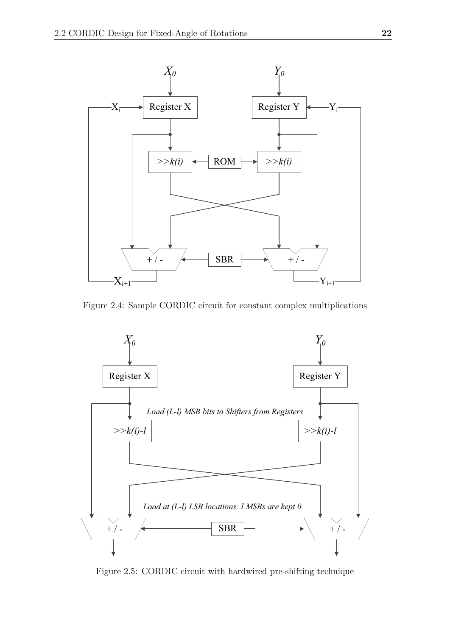

<span id="page-23-0"></span>Figure 2.4: Sample CORDIC circuit for constant complex multiplications



<span id="page-23-1"></span>Figure 2.5: CORDIC circuit with hardwired pre-shifting technique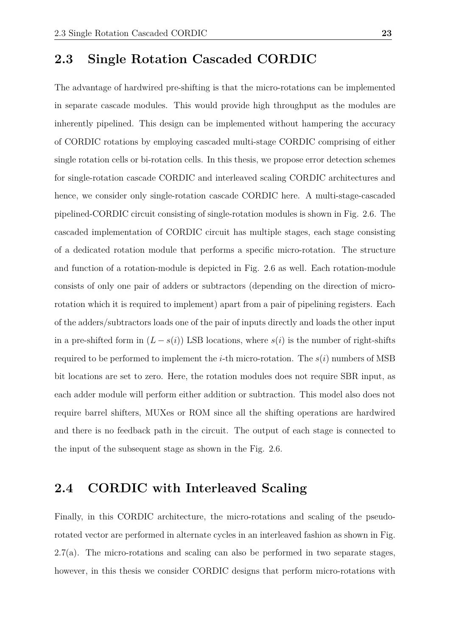### <span id="page-24-0"></span>**2.3 Single Rotation Cascaded CORDIC**

The advantage of hardwired pre-shifting is that the micro-rotations can be implemented in separate cascade modules. This would provide high throughput as the modules are inherently pipelined. This design can be implemented without hampering the accuracy of CORDIC rotations by employing cascaded multi-stage CORDIC comprising of either single rotation cells or bi-rotation cells. In this thesis, we propose error detection schemes for single-rotation cascade CORDIC and interleaved scaling CORDIC architectures and hence, we consider only single-rotation cascade CORDIC here. A multi-stage-cascaded pipelined-CORDIC circuit consisting of single-rotation modules is shown in Fig. 2.6. The cascaded implementation of CORDIC circuit has multiple stages, each stage consisting of a dedicated rotation module that performs a specific micro-rotation. The structure and function of a rotation-module is depicted in Fig. 2.6 as well. Each rotation-module consists of only one pair of adders or subtractors (depending on the direction of microrotation which it is required to implement) apart from a pair of pipelining registers. Each of the adders/subtractors loads one of the pair of inputs directly and loads the other input in a pre-shifted form in  $(L - s(i))$  LSB locations, where  $s(i)$  is the number of right-shifts required to be performed to implement the *i*-th micro-rotation. The *s*(*i*) numbers of MSB bit locations are set to zero. Here, the rotation modules does not require SBR input, as each adder module will perform either addition or subtraction. This model also does not require barrel shifters, MUXes or ROM since all the shifting operations are hardwired and there is no feedback path in the circuit. The output of each stage is connected to the input of the subsequent stage as shown in the Fig. 2.6.

#### <span id="page-24-1"></span>**2.4 CORDIC with Interleaved Scaling**

Finally, in this CORDIC architecture, the micro-rotations and scaling of the pseudorotated vector are performed in alternate cycles in an interleaved fashion as shown in Fig. 2.7(a). The micro-rotations and scaling can also be performed in two separate stages, however, in this thesis we consider CORDIC designs that perform micro-rotations with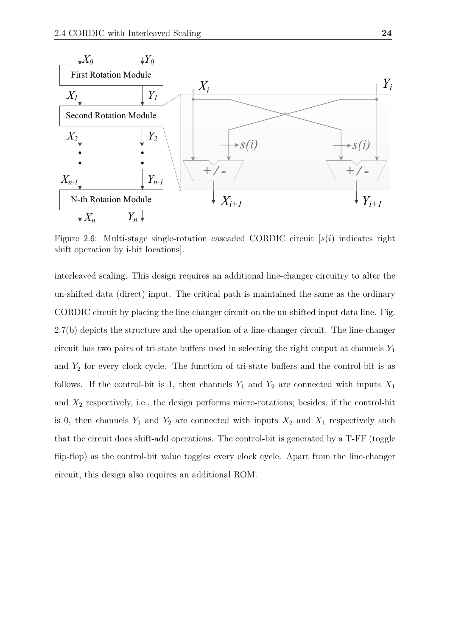

<span id="page-25-0"></span>Figure 2.6: Multi-stage single-rotation cascaded CORDIC circuit [*s*(*i*) indicates right shift operation by i-bit locations].

interleaved scaling. This design requires an additional line-changer circuitry to alter the un-shifted data (direct) input. The critical path is maintained the same as the ordinary CORDIC circuit by placing the line-changer circuit on the un-shifted input data line. Fig. 2.7(b) depicts the structure and the operation of a line-changer circuit. The line-changer circuit has two pairs of tri-state buffers used in selecting the right output at channels *Y*<sup>1</sup> and  $Y_2$  for every clock cycle. The function of tri-state buffers and the control-bit is as follows. If the control-bit is 1, then channels  $Y_1$  and  $Y_2$  are connected with inputs  $X_1$ and  $X_2$  respectively, i.e., the design performs micro-rotations; besides, if the control-bit is 0, then channels  $Y_1$  and  $Y_2$  are connected with inputs  $X_2$  and  $X_1$  respectively such that the circuit does shift-add operations. The control-bit is generated by a T-FF (toggle flip-flop) as the control-bit value toggles every clock cycle. Apart from the line-changer circuit, this design also requires an additional ROM.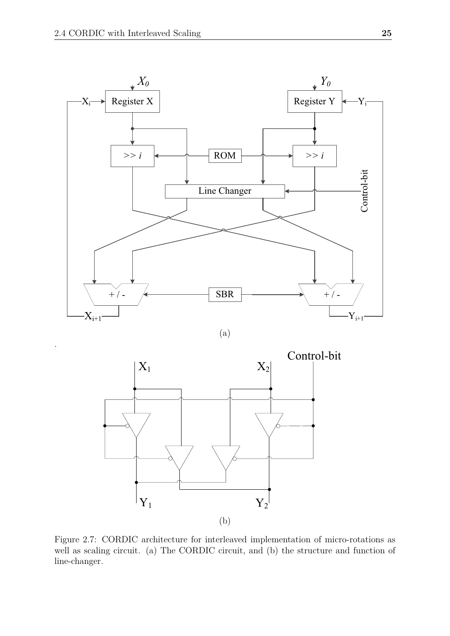.







<span id="page-26-0"></span>Figure 2.7: CORDIC architecture for interleaved implementation of micro-rotations as well as scaling circuit. (a) The CORDIC circuit, and (b) the structure and function of line-changer.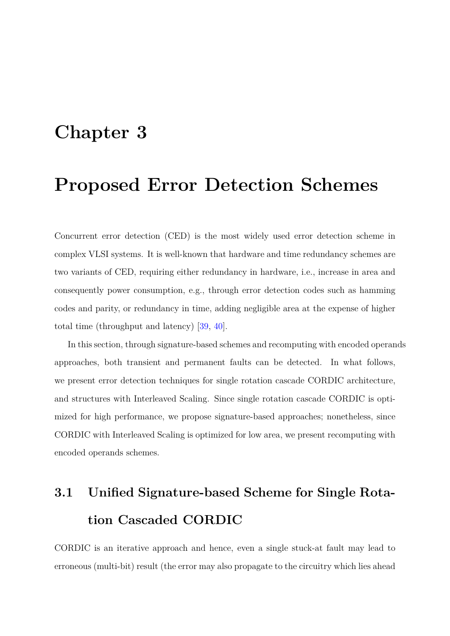## <span id="page-27-0"></span>**Chapter 3**

### **Proposed Error Detection Schemes**

Concurrent error detection (CED) is the most widely used error detection scheme in complex VLSI systems. It is well-known that hardware and time redundancy schemes are two variants of CED, requiring either redundancy in hardware, i.e., increase in area and consequently power consumption, e.g., through error detection codes such as hamming codes and parity, or redundancy in time, adding negligible area at the expense of higher total time (throughput and latency) [\[39,](#page-49-3) [40\]](#page-49-4).

In this section, through signature-based schemes and recomputing with encoded operands approaches, both transient and permanent faults can be detected. In what follows, we present error detection techniques for single rotation cascade CORDIC architecture, and structures with Interleaved Scaling. Since single rotation cascade CORDIC is optimized for high performance, we propose signature-based approaches; nonetheless, since CORDIC with Interleaved Scaling is optimized for low area, we present recomputing with encoded operands schemes.

## <span id="page-27-1"></span>**3.1 Unified Signature-based Scheme for Single Rotation Cascaded CORDIC**

CORDIC is an iterative approach and hence, even a single stuck-at fault may lead to erroneous (multi-bit) result (the error may also propagate to the circuitry which lies ahead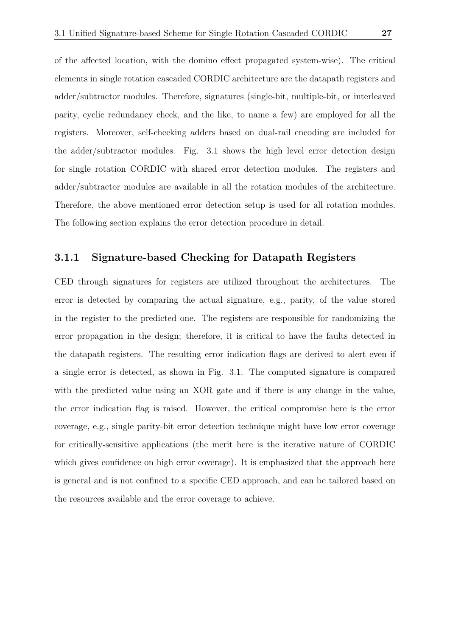of the affected location, with the domino effect propagated system-wise). The critical elements in single rotation cascaded CORDIC architecture are the datapath registers and adder/subtractor modules. Therefore, signatures (single-bit, multiple-bit, or interleaved parity, cyclic redundancy check, and the like, to name a few) are employed for all the registers. Moreover, self-checking adders based on dual-rail encoding are included for the adder/subtractor modules. Fig. 3.1 shows the high level error detection design for single rotation CORDIC with shared error detection modules. The registers and adder/subtractor modules are available in all the rotation modules of the architecture. Therefore, the above mentioned error detection setup is used for all rotation modules. The following section explains the error detection procedure in detail.

#### <span id="page-28-0"></span>**3.1.1 Signature-based Checking for Datapath Registers**

CED through signatures for registers are utilized throughout the architectures. The error is detected by comparing the actual signature, e.g., parity, of the value stored in the register to the predicted one. The registers are responsible for randomizing the error propagation in the design; therefore, it is critical to have the faults detected in the datapath registers. The resulting error indication flags are derived to alert even if a single error is detected, as shown in Fig. 3.1. The computed signature is compared with the predicted value using an XOR gate and if there is any change in the value, the error indication flag is raised. However, the critical compromise here is the error coverage, e.g., single parity-bit error detection technique might have low error coverage for critically-sensitive applications (the merit here is the iterative nature of CORDIC which gives confidence on high error coverage). It is emphasized that the approach here is general and is not confined to a specific CED approach, and can be tailored based on the resources available and the error coverage to achieve.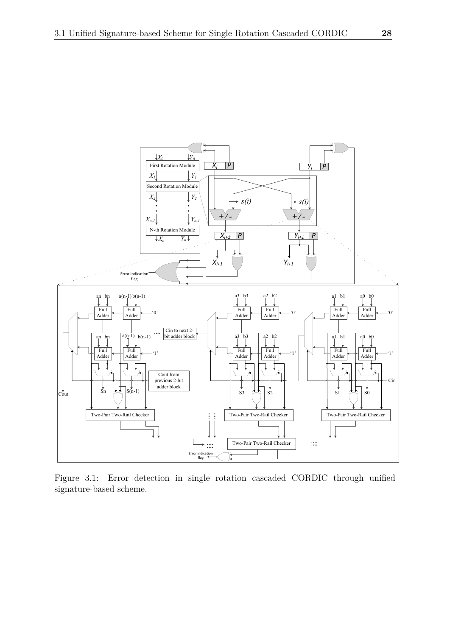

<span id="page-29-0"></span>Figure 3.1: Error detection in single rotation cascaded CORDIC through unified signature-based scheme.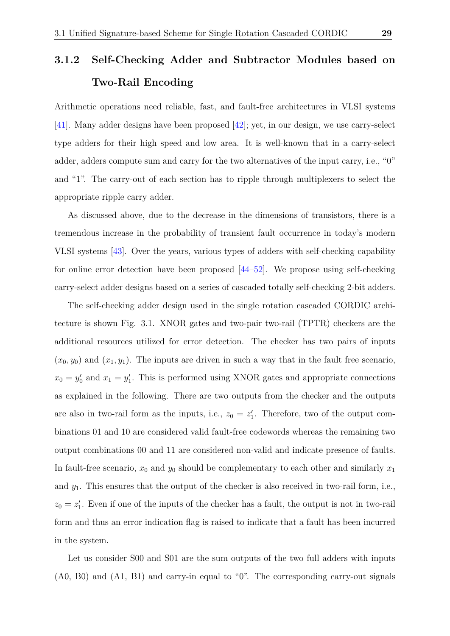### <span id="page-30-0"></span>**3.1.2 Self-Checking Adder and Subtractor Modules based on Two-Rail Encoding**

Arithmetic operations need reliable, fast, and fault-free architectures in VLSI systems [\[41\]](#page-49-5). Many adder designs have been proposed [\[42\]](#page-49-6); yet, in our design, we use carry-select type adders for their high speed and low area. It is well-known that in a carry-select adder, adders compute sum and carry for the two alternatives of the input carry, i.e., "0" and "1". The carry-out of each section has to ripple through multiplexers to select the appropriate ripple carry adder.

As discussed above, due to the decrease in the dimensions of transistors, there is a tremendous increase in the probability of transient fault occurrence in today's modern VLSI systems [\[43\]](#page-49-7). Over the years, various types of adders with self-checking capability for online error detection have been proposed [\[44–](#page-49-8)[52\]](#page-50-0). We propose using self-checking carry-select adder designs based on a series of cascaded totally self-checking 2-bit adders.

The self-checking adder design used in the single rotation cascaded CORDIC architecture is shown Fig. 3.1. XNOR gates and two-pair two-rail (TPTR) checkers are the additional resources utilized for error detection. The checker has two pairs of inputs  $(x_0, y_0)$  and  $(x_1, y_1)$ . The inputs are driven in such a way that in the fault free scenario,  $x_0 = y'_0$  and  $x_1 = y'_1$ . This is performed using XNOR gates and appropriate connections as explained in the following. There are two outputs from the checker and the outputs are also in two-rail form as the inputs, i.e.,  $z_0 = z'_1$ . Therefore, two of the output combinations 01 and 10 are considered valid fault-free codewords whereas the remaining two output combinations 00 and 11 are considered non-valid and indicate presence of faults. In fault-free scenario,  $x_0$  and  $y_0$  should be complementary to each other and similarly  $x_1$ and *y*1. This ensures that the output of the checker is also received in two-rail form, i.e.,  $z_0 = z_1'$ . Even if one of the inputs of the checker has a fault, the output is not in two-rail form and thus an error indication flag is raised to indicate that a fault has been incurred in the system.

Let us consider S00 and S01 are the sum outputs of the two full adders with inputs (A0, B0) and (A1, B1) and carry-in equal to "0". The corresponding carry-out signals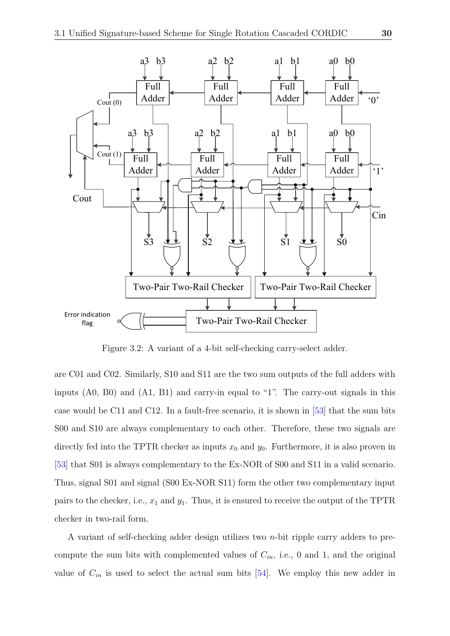

<span id="page-31-0"></span>Figure 3.2: A variant of a 4-bit self-checking carry-select adder.

are C01 and C02. Similarly, S10 and S11 are the two sum outputs of the full adders with inputs (A0, B0) and (A1, B1) and carry-in equal to "1". The carry-out signals in this case would be C11 and C12. In a fault-free scenario, it is shown in [\[53\]](#page-50-1) that the sum bits S00 and S10 are always complementary to each other. Therefore, these two signals are directly fed into the TPTR checker as inputs  $x_0$  and  $y_0$ . Furthermore, it is also proven in [\[53\]](#page-50-1) that S01 is always complementary to the Ex-NOR of S00 and S11 in a valid scenario. Thus, signal S01 and signal (S00 Ex-NOR S11) form the other two complementary input pairs to the checker, i.e., *x*<sup>1</sup> and *y*1. Thus, it is ensured to receive the output of the TPTR checker in two-rail form.

A variant of self-checking adder design utilizes two *n*-bit ripple carry adders to precompute the sum bits with complemented values of  $C_{in}$ , i.e., 0 and 1, and the original value of  $C_{in}$  is used to select the actual sum bits  $[54]$ . We employ this new adder in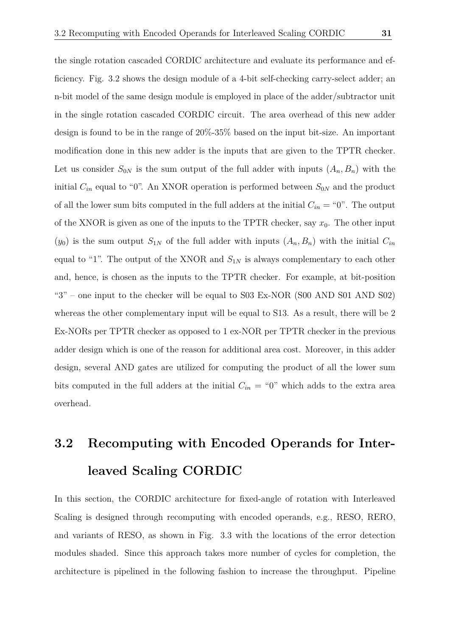the single rotation cascaded CORDIC architecture and evaluate its performance and efficiency. Fig. 3.2 shows the design module of a 4-bit self-checking carry-select adder; an n-bit model of the same design module is employed in place of the adder/subtractor unit in the single rotation cascaded CORDIC circuit. The area overhead of this new adder design is found to be in the range of 20%-35% based on the input bit-size. An important modification done in this new adder is the inputs that are given to the TPTR checker. Let us consider  $S_{0N}$  is the sum output of the full adder with inputs  $(A_n, B_n)$  with the initial  $C_{in}$  equal to "0". An XNOR operation is performed between  $S_{0N}$  and the product of all the lower sum bits computed in the full adders at the initial  $C_{in} = "0"$ . The output of the XNOR is given as one of the inputs to the TPTR checker, say  $x_0$ . The other input  $(y_0)$  is the sum output  $S_{1N}$  of the full adder with inputs  $(A_n, B_n)$  with the initial  $C_{in}$ equal to "1". The output of the XNOR and  $S_{1N}$  is always complementary to each other

and, hence, is chosen as the inputs to the TPTR checker. For example, at bit-position " $3"$  – one input to the checker will be equal to S03 Ex-NOR (S00 AND S01 AND S02) whereas the other complementary input will be equal to S13. As a result, there will be 2 Ex-NORs per TPTR checker as opposed to 1 ex-NOR per TPTR checker in the previous adder design which is one of the reason for additional area cost. Moreover, in this adder design, several AND gates are utilized for computing the product of all the lower sum bits computed in the full adders at the initial  $C_{in} = 0$ " which adds to the extra area overhead.

## <span id="page-32-0"></span>**3.2 Recomputing with Encoded Operands for Interleaved Scaling CORDIC**

In this section, the CORDIC architecture for fixed-angle of rotation with Interleaved Scaling is designed through recomputing with encoded operands, e.g., RESO, RERO, and variants of RESO, as shown in Fig. 3.3 with the locations of the error detection modules shaded. Since this approach takes more number of cycles for completion, the architecture is pipelined in the following fashion to increase the throughput. Pipeline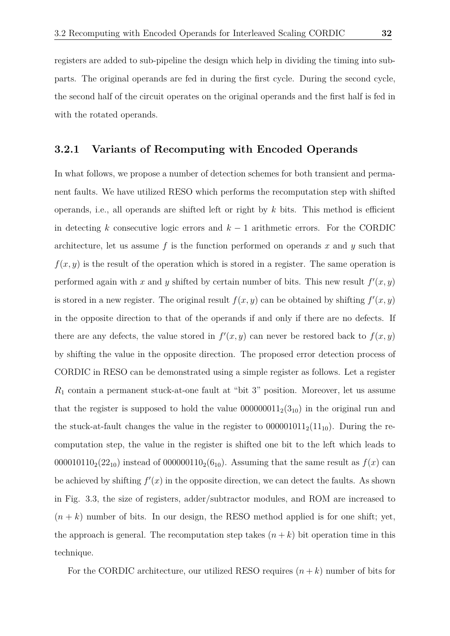registers are added to sub-pipeline the design which help in dividing the timing into subparts. The original operands are fed in during the first cycle. During the second cycle, the second half of the circuit operates on the original operands and the first half is fed in with the rotated operands.

#### <span id="page-33-0"></span>**3.2.1 Variants of Recomputing with Encoded Operands**

In what follows, we propose a number of detection schemes for both transient and permanent faults. We have utilized RESO which performs the recomputation step with shifted operands, i.e., all operands are shifted left or right by *k* bits. This method is efficient in detecting *k* consecutive logic errors and *k* − 1 arithmetic errors. For the CORDIC architecture, let us assume *f* is the function performed on operands *x* and *y* such that  $f(x, y)$  is the result of the operation which is stored in a register. The same operation is performed again with *x* and *y* shifted by certain number of bits. This new result  $f'(x, y)$ is stored in a new register. The original result  $f(x, y)$  can be obtained by shifting  $f'(x, y)$ in the opposite direction to that of the operands if and only if there are no defects. If there are any defects, the value stored in  $f'(x, y)$  can never be restored back to  $f(x, y)$ by shifting the value in the opposite direction. The proposed error detection process of CORDIC in RESO can be demonstrated using a simple register as follows. Let a register *R*<sup>1</sup> contain a permanent stuck-at-one fault at "bit 3" position. Moreover, let us assume that the register is supposed to hold the value  $000000011_2(3_{10})$  in the original run and the stuck-at-fault changes the value in the register to  $000001011_2(11_{10})$ . During the recomputation step, the value in the register is shifted one bit to the left which leads to 000010110<sub>2</sub>(22<sub>10</sub>) instead of 000000110<sub>2</sub>(6<sub>10</sub>). Assuming that the same result as  $f(x)$  can be achieved by shifting  $f'(x)$  in the opposite direction, we can detect the faults. As shown in Fig. 3.3, the size of registers, adder/subtractor modules, and ROM are increased to  $(n + k)$  number of bits. In our design, the RESO method applied is for one shift; yet, the approach is general. The recomputation step takes  $(n + k)$  bit operation time in this technique.

For the CORDIC architecture, our utilized RESO requires  $(n + k)$  number of bits for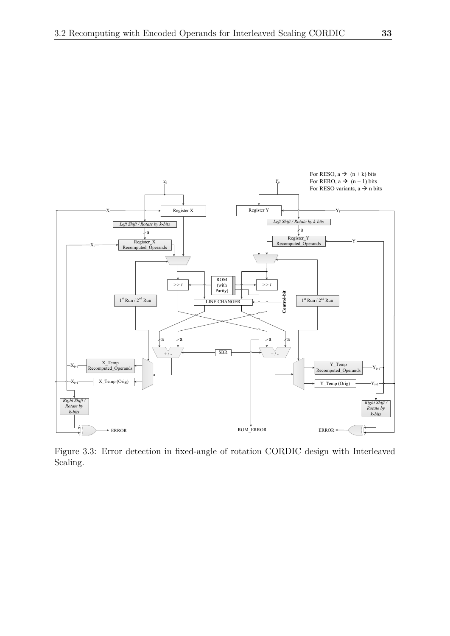

<span id="page-34-0"></span>Figure 3.3: Error detection in fixed-angle of rotation CORDIC design with Interleaved Scaling.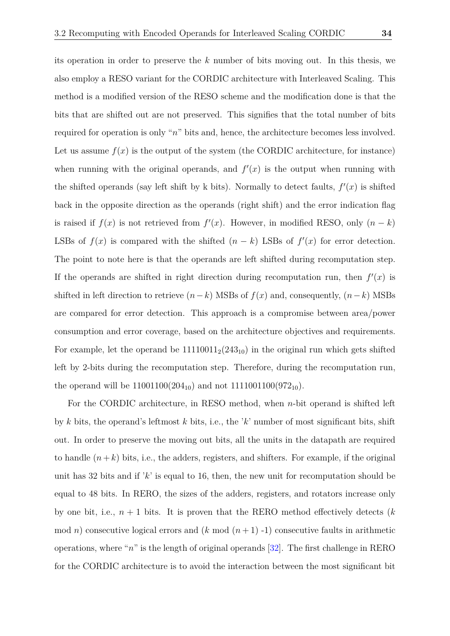its operation in order to preserve the *k* number of bits moving out. In this thesis, we also employ a RESO variant for the CORDIC architecture with Interleaved Scaling. This method is a modified version of the RESO scheme and the modification done is that the bits that are shifted out are not preserved. This signifies that the total number of bits required for operation is only "*n*" bits and, hence, the architecture becomes less involved. Let us assume  $f(x)$  is the output of the system (the CORDIC architecture, for instance) when running with the original operands, and  $f'(x)$  is the output when running with the shifted operands (say left shift by k bits). Normally to detect faults,  $f'(x)$  is shifted back in the opposite direction as the operands (right shift) and the error indication flag is raised if  $f(x)$  is not retrieved from  $f'(x)$ . However, in modified RESO, only  $(n - k)$ LSBs of  $f(x)$  is compared with the shifted  $(n - k)$  LSBs of  $f'(x)$  for error detection. The point to note here is that the operands are left shifted during recomputation step. If the operands are shifted in right direction during recomputation run, then  $f'(x)$  is shifted in left direction to retrieve  $(n-k)$  MSBs of  $f(x)$  and, consequently,  $(n-k)$  MSBs are compared for error detection. This approach is a compromise between area/power consumption and error coverage, based on the architecture objectives and requirements. For example, let the operand be  $11110011_2(243_{10})$  in the original run which gets shifted left by 2-bits during the recomputation step. Therefore, during the recomputation run, the operand will be  $11001100(204_{10})$  and not  $1111001100(972_{10})$ .

For the CORDIC architecture, in RESO method, when *n*-bit operand is shifted left by *k* bits, the operand's leftmost *k* bits, i.e., the '*k*' number of most significant bits, shift out. In order to preserve the moving out bits, all the units in the datapath are required to handle  $(n+k)$  bits, i.e., the adders, registers, and shifters. For example, if the original unit has 32 bits and if '*k*' is equal to 16, then, the new unit for recomputation should be equal to 48 bits. In RERO, the sizes of the adders, registers, and rotators increase only by one bit, i.e.,  $n + 1$  bits. It is proven that the RERO method effectively detects  $(k)$ mod *n*) consecutive logical errors and  $(k \mod (n+1) -1)$  consecutive faults in arithmetic operations, where "*n*" is the length of original operands [\[32\]](#page-48-4). The first challenge in RERO for the CORDIC architecture is to avoid the interaction between the most significant bit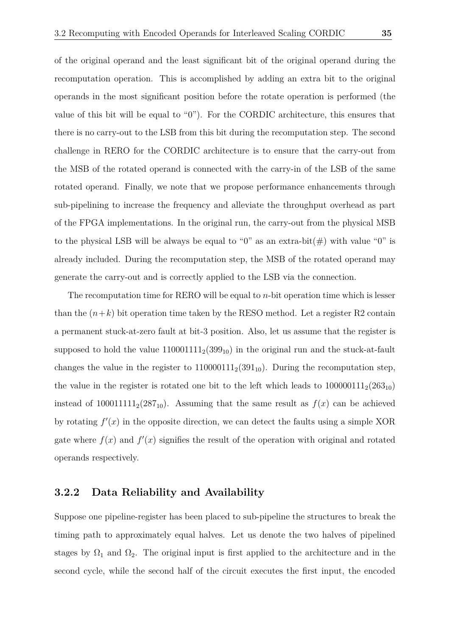of the original operand and the least significant bit of the original operand during the recomputation operation. This is accomplished by adding an extra bit to the original operands in the most significant position before the rotate operation is performed (the value of this bit will be equal to "0"). For the CORDIC architecture, this ensures that there is no carry-out to the LSB from this bit during the recomputation step. The second challenge in RERO for the CORDIC architecture is to ensure that the carry-out from the MSB of the rotated operand is connected with the carry-in of the LSB of the same rotated operand. Finally, we note that we propose performance enhancements through sub-pipelining to increase the frequency and alleviate the throughput overhead as part of the FPGA implementations. In the original run, the carry-out from the physical MSB to the physical LSB will be always be equal to "0" as an extra-bit(#) with value "0" is

The recomputation time for RERO will be equal to *n*-bit operation time which is lesser than the  $(n+k)$  bit operation time taken by the RESO method. Let a register R2 contain a permanent stuck-at-zero fault at bit-3 position. Also, let us assume that the register is supposed to hold the value  $110001111_2(399_{10})$  in the original run and the stuck-at-fault changes the value in the register to  $110000111_2(391_{10})$ . During the recomputation step, the value in the register is rotated one bit to the left which leads to  $100000111_2(263_{10})$ instead of  $100011111_2(287_{10})$ . Assuming that the same result as  $f(x)$  can be achieved by rotating  $f'(x)$  in the opposite direction, we can detect the faults using a simple XOR gate where  $f(x)$  and  $f'(x)$  signifies the result of the operation with original and rotated operands respectively.

already included. During the recomputation step, the MSB of the rotated operand may

generate the carry-out and is correctly applied to the LSB via the connection.

#### <span id="page-36-0"></span>**3.2.2 Data Reliability and Availability**

Suppose one pipeline-register has been placed to sub-pipeline the structures to break the timing path to approximately equal halves. Let us denote the two halves of pipelined stages by  $\Omega_1$  and  $\Omega_2$ . The original input is first applied to the architecture and in the second cycle, while the second half of the circuit executes the first input, the encoded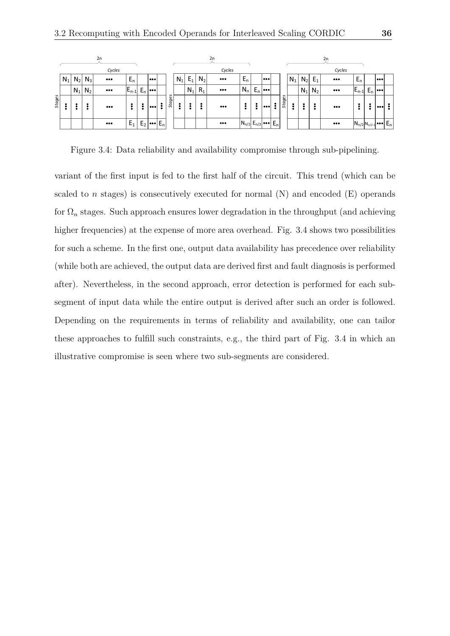|               |       |       |         | 2n                      |           |       |     |       |               |       |       |       | 2n                      |                                                                         |       |     |       |        |       |       |         | 2n                        |                          |       |     |  |
|---------------|-------|-------|---------|-------------------------|-----------|-------|-----|-------|---------------|-------|-------|-------|-------------------------|-------------------------------------------------------------------------|-------|-----|-------|--------|-------|-------|---------|---------------------------|--------------------------|-------|-----|--|
|               |       |       |         | Cycles                  |           |       |     |       |               |       |       |       | Cycles                  |                                                                         |       |     |       |        |       |       |         | Cycles                    |                          |       |     |  |
|               | $N_1$ | $N_2$ | $N_3$   | $\bullet\bullet\bullet$ | $E_n$     |       |     |       |               | $N_1$ | $E_1$ | $N_2$ | $\bullet\bullet\bullet$ | $E_n$                                                                   |       |     |       |        | $N_1$ | $N_2$ | $E_1$   | $\bullet \bullet \bullet$ | $E_n$                    |       | 000 |  |
|               |       | $N_1$ | $N_{2}$ | $\bullet\bullet\bullet$ | $E_{n-1}$ | $E_n$ | 000 |       | s             |       | $N_1$ | $R_1$ | $\bullet\bullet\bullet$ | $N_n$                                                                   | $E_n$ | 000 |       |        |       | $N_1$ | $N_{2}$ | $\bullet\bullet\bullet$   | $E_{n-1}$                | $E_n$ |     |  |
| <b>Stages</b> |       |       |         | $\bullet\bullet\bullet$ |           | 2     |     | ۰     | <b>Stage:</b> |       |       |       | $\bullet\bullet\bullet$ |                                                                         | :     |     |       | Stages |       |       |         |                           |                          |       |     |  |
|               |       |       |         | $\bullet\bullet\bullet$ | $E_1$     | Ŀ٥    |     | $E_n$ |               |       |       |       | $\bullet\bullet\bullet$ | $\left  N_{n/2} \right  E_{n/2} \left  \bullet \bullet \bullet \right $ |       |     | $E_n$ |        |       |       |         | $\bullet\bullet\bullet$   | $N_{n/2}N_{n/2-1}$ $E_n$ |       |     |  |

<span id="page-37-0"></span>Figure 3.4: Data reliability and availability compromise through sub-pipelining.

variant of the first input is fed to the first half of the circuit. This trend (which can be scaled to  $n$  stages) is consecutively executed for normal  $(N)$  and encoded  $(E)$  operands for  $\Omega_n$  stages. Such approach ensures lower degradation in the throughput (and achieving higher frequencies) at the expense of more area overhead. Fig. 3.4 shows two possibilities for such a scheme. In the first one, output data availability has precedence over reliability (while both are achieved, the output data are derived first and fault diagnosis is performed after). Nevertheless, in the second approach, error detection is performed for each subsegment of input data while the entire output is derived after such an order is followed. Depending on the requirements in terms of reliability and availability, one can tailor these approaches to fulfill such constraints, e.g., the third part of Fig. 3.4 in which an illustrative compromise is seen where two sub-segments are considered.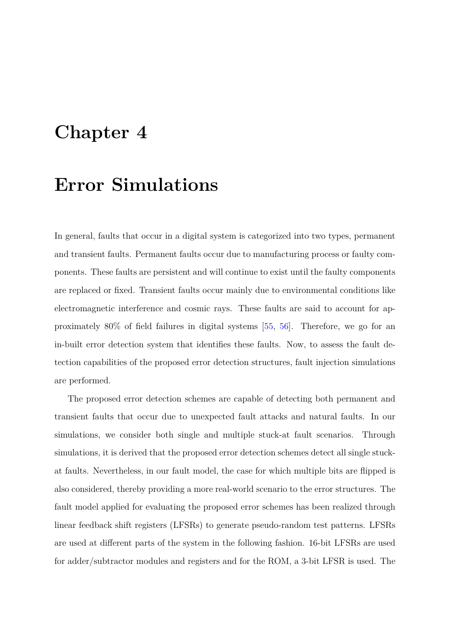## <span id="page-38-0"></span>**Chapter 4**

### **Error Simulations**

In general, faults that occur in a digital system is categorized into two types, permanent and transient faults. Permanent faults occur due to manufacturing process or faulty components. These faults are persistent and will continue to exist until the faulty components are replaced or fixed. Transient faults occur mainly due to environmental conditions like electromagnetic interference and cosmic rays. These faults are said to account for approximately 80% of field failures in digital systems [\[55,](#page-50-3) [56\]](#page-50-4). Therefore, we go for an in-built error detection system that identifies these faults. Now, to assess the fault detection capabilities of the proposed error detection structures, fault injection simulations are performed.

The proposed error detection schemes are capable of detecting both permanent and transient faults that occur due to unexpected fault attacks and natural faults. In our simulations, we consider both single and multiple stuck-at fault scenarios. Through simulations, it is derived that the proposed error detection schemes detect all single stuckat faults. Nevertheless, in our fault model, the case for which multiple bits are flipped is also considered, thereby providing a more real-world scenario to the error structures. The fault model applied for evaluating the proposed error schemes has been realized through linear feedback shift registers (LFSRs) to generate pseudo-random test patterns. LFSRs are used at different parts of the system in the following fashion. 16-bit LFSRs are used for adder/subtractor modules and registers and for the ROM, a 3-bit LFSR is used. The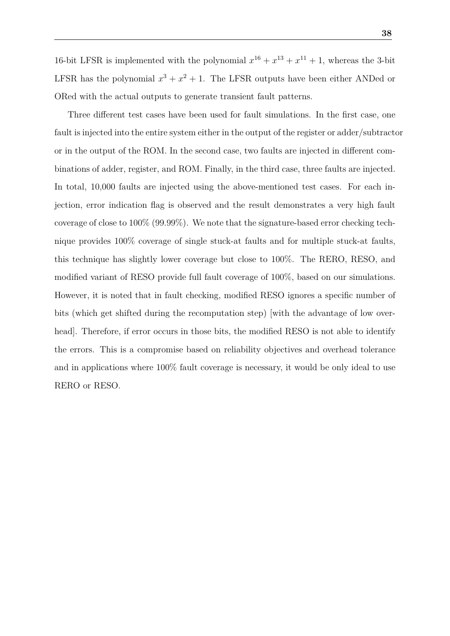16-bit LFSR is implemented with the polynomial  $x^{16} + x^{13} + x^{11} + 1$ , whereas the 3-bit LFSR has the polynomial  $x^3 + x^2 + 1$ . The LFSR outputs have been either ANDed or ORed with the actual outputs to generate transient fault patterns.

Three different test cases have been used for fault simulations. In the first case, one fault is injected into the entire system either in the output of the register or adder/subtractor or in the output of the ROM. In the second case, two faults are injected in different combinations of adder, register, and ROM. Finally, in the third case, three faults are injected. In total, 10,000 faults are injected using the above-mentioned test cases. For each injection, error indication flag is observed and the result demonstrates a very high fault coverage of close to 100% (99.99%). We note that the signature-based error checking technique provides 100% coverage of single stuck-at faults and for multiple stuck-at faults, this technique has slightly lower coverage but close to 100%. The RERO, RESO, and modified variant of RESO provide full fault coverage of 100%, based on our simulations. However, it is noted that in fault checking, modified RESO ignores a specific number of bits (which get shifted during the recomputation step) [with the advantage of low overhead. Therefore, if error occurs in those bits, the modified RESO is not able to identify the errors. This is a compromise based on reliability objectives and overhead tolerance and in applications where 100% fault coverage is necessary, it would be only ideal to use RERO or RESO.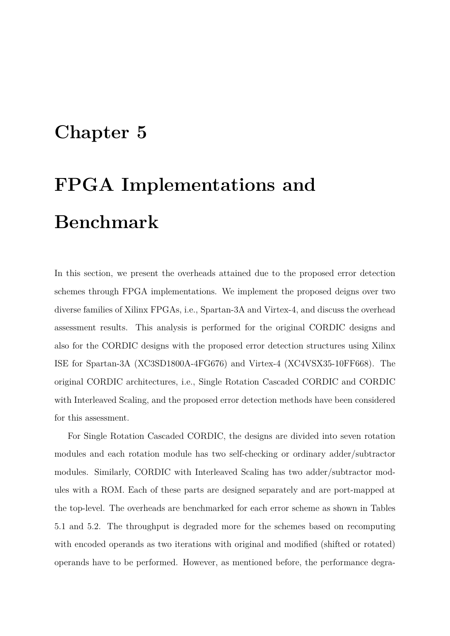## <span id="page-40-0"></span>**Chapter 5**

# **FPGA Implementations and Benchmark**

In this section, we present the overheads attained due to the proposed error detection schemes through FPGA implementations. We implement the proposed deigns over two diverse families of Xilinx FPGAs, i.e., Spartan-3A and Virtex-4, and discuss the overhead assessment results. This analysis is performed for the original CORDIC designs and also for the CORDIC designs with the proposed error detection structures using Xilinx ISE for Spartan-3A (XC3SD1800A-4FG676) and Virtex-4 (XC4VSX35-10FF668). The original CORDIC architectures, i.e., Single Rotation Cascaded CORDIC and CORDIC with Interleaved Scaling, and the proposed error detection methods have been considered for this assessment.

For Single Rotation Cascaded CORDIC, the designs are divided into seven rotation modules and each rotation module has two self-checking or ordinary adder/subtractor modules. Similarly, CORDIC with Interleaved Scaling has two adder/subtractor modules with a ROM. Each of these parts are designed separately and are port-mapped at the top-level. The overheads are benchmarked for each error scheme as shown in Tables 5.1 and 5.2. The throughput is degraded more for the schemes based on recomputing with encoded operands as two iterations with original and modified (shifted or rotated) operands have to be performed. However, as mentioned before, the performance degra-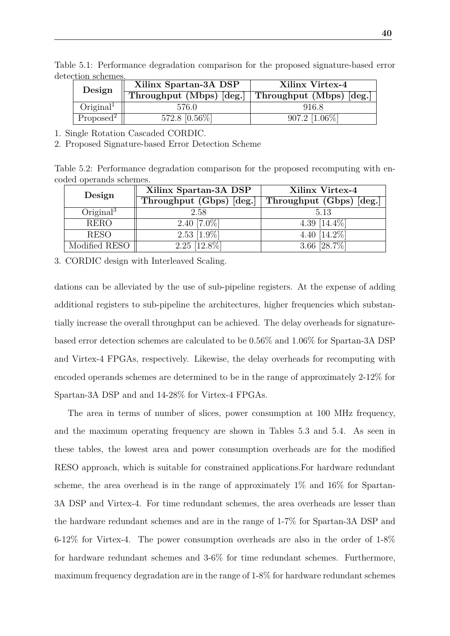<span id="page-41-0"></span>

| Design                   | Xilinx Spartan-3A DSP | Xilinx Virtex-4                                       |
|--------------------------|-----------------------|-------------------------------------------------------|
|                          |                       | Throughput (Mbps) $[deg.]$ Throughput (Mbps) $[deg.]$ |
| $O$ riginal <sup>1</sup> | 576.0                 | 916.8                                                 |
| Proposed <sup>2</sup>    | 572.8 [0.56\%]        | $907.2$ [1.06\%]                                      |

Table 5.1: Performance degradation comparison for the proposed signature-based error detection schemes.

1. Single Rotation Cascaded CORDIC.

2. Proposed Signature-based Error Detection Scheme

Table 5.2: Performance degradation comparison for the proposed recomputing with encoded operands schemes.

<span id="page-41-1"></span>

| Design                   | Xilinx Spartan-3A DSP    | Xilinx Virtex-4          |  |  |  |  |
|--------------------------|--------------------------|--------------------------|--|--|--|--|
|                          | Throughput (Gbps) [deg.] | Throughput (Gbps) [deg.] |  |  |  |  |
| $O$ riginal <sup>3</sup> | 2.58                     | 5.13                     |  |  |  |  |
| <b>RERO</b>              | 2.40 $[7.0\%]$           | 4.39 $[14.4\%]$          |  |  |  |  |
| <b>RESO</b>              | $2.53$ [1.9%]            | 4.40 [14.2%]             |  |  |  |  |
| Modified RESO            | $2.25 \overline{12.8\%}$ | 3.66 [28.7\%]            |  |  |  |  |

3. CORDIC design with Interleaved Scaling.

dations can be alleviated by the use of sub-pipeline registers. At the expense of adding additional registers to sub-pipeline the architectures, higher frequencies which substantially increase the overall throughput can be achieved. The delay overheads for signaturebased error detection schemes are calculated to be 0.56% and 1.06% for Spartan-3A DSP and Virtex-4 FPGAs, respectively. Likewise, the delay overheads for recomputing with encoded operands schemes are determined to be in the range of approximately 2-12% for Spartan-3A DSP and and 14-28% for Virtex-4 FPGAs.

The area in terms of number of slices, power consumption at 100 MHz frequency, and the maximum operating frequency are shown in Tables 5.3 and 5.4. As seen in these tables, the lowest area and power consumption overheads are for the modified RESO approach, which is suitable for constrained applications.For hardware redundant scheme, the area overhead is in the range of approximately  $1\%$  and  $16\%$  for Spartan-3A DSP and Virtex-4. For time redundant schemes, the area overheads are lesser than the hardware redundant schemes and are in the range of 1-7% for Spartan-3A DSP and 6-12% for Virtex-4. The power consumption overheads are also in the order of 1-8% for hardware redundant schemes and 3-6% for time redundant schemes. Furthermore, maximum frequency degradation are in the range of 1-8% for hardware redundant schemes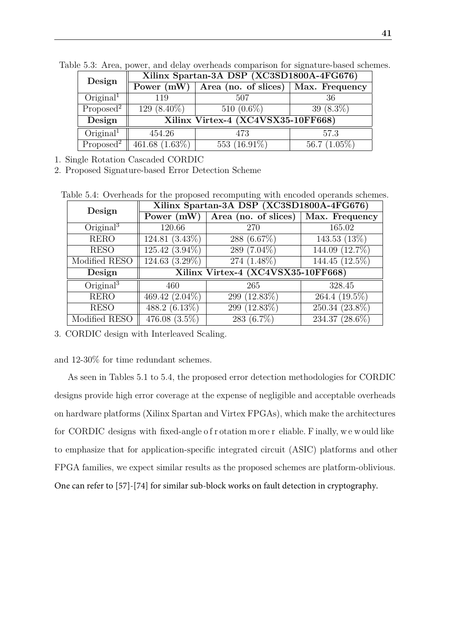<span id="page-42-0"></span>

| Design                            | Xilinx Spartan-3A DSP (XC3SD1800A-4FG676) |                                    |                 |  |  |  |  |  |  |
|-----------------------------------|-------------------------------------------|------------------------------------|-----------------|--|--|--|--|--|--|
|                                   | Power $(mW)$                              | Area (no. of slices)               | Max. Frequency  |  |  |  |  |  |  |
| $O$ riginal <sup>1</sup>          | 119                                       | 507                                | 36              |  |  |  |  |  |  |
| Proposed <sup>2</sup>             | 129 $(8.40\%)$                            | 510 $(0.6\%)$                      | 39 $(8.3\%)$    |  |  |  |  |  |  |
| Design                            |                                           | Xilinx Virtex-4 (XC4VSX35-10FF668) |                 |  |  |  |  |  |  |
| $O$ riginal <sup>1</sup>          | 454.26                                    | 473                                | 57.3            |  |  |  |  |  |  |
| Proposed <sup>2</sup> $\parallel$ | $461.68(1.63\%)$                          | 553 $(16.91\%)$                    | 56.7 $(1.05\%)$ |  |  |  |  |  |  |

Table 5.3: Area, power, and delay overheads comparison for signature-based schemes.

1. Single Rotation Cascaded CORDIC

2. Proposed Signature-based Error Detection Scheme

Table 5.4: Overheads for the proposed recomputing with encoded operands schemes.

<span id="page-42-1"></span>

| Design                   | Xilinx Spartan-3A DSP (XC3SD1800A-4FG676) |                          |                  |  |  |  |  |  |  |  |
|--------------------------|-------------------------------------------|--------------------------|------------------|--|--|--|--|--|--|--|
|                          | Power (mW)                                | Area (no. of slices)     | Max. Frequency   |  |  |  |  |  |  |  |
| $O$ riginal $3$          | 120.66                                    | 270                      | 165.02           |  |  |  |  |  |  |  |
| <b>RERO</b>              | $124.81(3.43\%)$                          | 288 (6.67%)              | 143.53 $(13\%)$  |  |  |  |  |  |  |  |
| <b>RESO</b>              | $125.42(3.94\%)$                          | 289 (7.04%)              | 144.09 (12.7%)   |  |  |  |  |  |  |  |
| Modified RESO            | $\overline{124.63}$ $(3.29\%)$            | $\overline{274}$ (1.48%) | 144.45 (12.5%)   |  |  |  |  |  |  |  |
| Design                   | Xilinx Virtex-4 (XC4VSX35-10FF668)        |                          |                  |  |  |  |  |  |  |  |
| $O$ riginal <sup>3</sup> | 460                                       | 265                      | 328.45           |  |  |  |  |  |  |  |
| <b>RERO</b>              | 469.42 (2.04%)                            | 299 (12.83%)             | 264.4 $(19.5\%)$ |  |  |  |  |  |  |  |
| <b>RESO</b>              | 488.2 $(6.13\%)$                          | 299 $(12.83\%)$          | 250.34 (23.8%)   |  |  |  |  |  |  |  |
| Modified RESO            | 476.08 $(3.5\%)$                          | 283 (6.7%)               | 234.37 (28.6%)   |  |  |  |  |  |  |  |

3. CORDIC design with Interleaved Scaling.

and 12-30% for time redundant schemes.

As seen in Tables 5.1 to 5.4, the proposed error detection methodologies for CORDIC designs provide high error coverage at the expense of negligible and acceptable overheads on hardware platforms (Xilinx Spartan and Virtex FPGAs), which make the architectures for CORDIC designs with fixed-angle o f r otation m ore r eliable. F inally, w e w ould like to emphasize that for application-specific integrated circuit (ASIC) platforms and other FPGA families, we expect similar results as the proposed schemes are platform-oblivious. One can refer to [57]-[74] for similar sub-block works on fault detection in cryptography.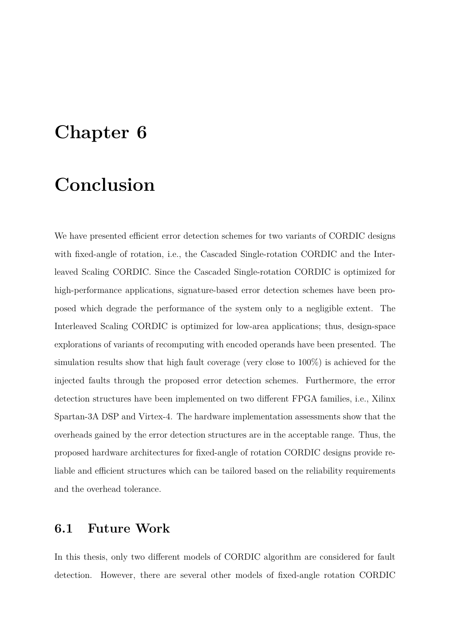### <span id="page-43-0"></span>**Chapter 6**

## **Conclusion**

We have presented efficient error detection schemes for two variants of CORDIC designs with fixed-angle of rotation, i.e., the Cascaded Single-rotation CORDIC and the Interleaved Scaling CORDIC. Since the Cascaded Single-rotation CORDIC is optimized for high-performance applications, signature-based error detection schemes have been proposed which degrade the performance of the system only to a negligible extent. The Interleaved Scaling CORDIC is optimized for low-area applications; thus, design-space explorations of variants of recomputing with encoded operands have been presented. The simulation results show that high fault coverage (very close to 100%) is achieved for the injected faults through the proposed error detection schemes. Furthermore, the error detection structures have been implemented on two different FPGA families, i.e., Xilinx Spartan-3A DSP and Virtex-4. The hardware implementation assessments show that the overheads gained by the error detection structures are in the acceptable range. Thus, the proposed hardware architectures for fixed-angle of rotation CORDIC designs provide reliable and efficient structures which can be tailored based on the reliability requirements and the overhead tolerance.

#### <span id="page-43-1"></span>**6.1 Future Work**

In this thesis, only two different models of CORDIC algorithm are considered for fault detection. However, there are several other models of fixed-angle rotation CORDIC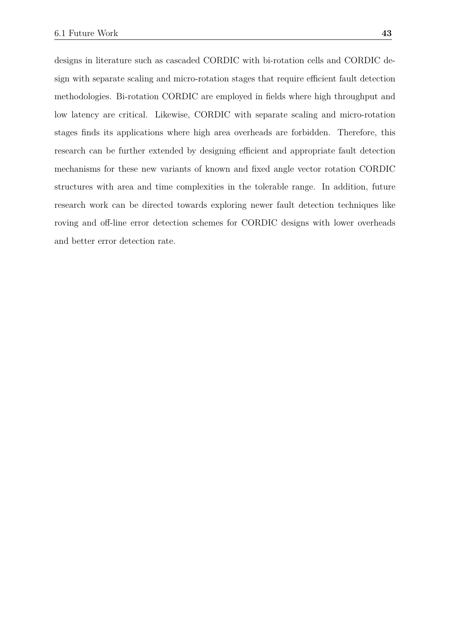designs in literature such as cascaded CORDIC with bi-rotation cells and CORDIC design with separate scaling and micro-rotation stages that require efficient fault detection methodologies. Bi-rotation CORDIC are employed in fields where high throughput and low latency are critical. Likewise, CORDIC with separate scaling and micro-rotation stages finds its applications where high area overheads are forbidden. Therefore, this research can be further extended by designing efficient and appropriate fault detection mechanisms for these new variants of known and fixed angle vector rotation CORDIC structures with area and time complexities in the tolerable range. In addition, future research work can be directed towards exploring newer fault detection techniques like roving and off-line error detection schemes for CORDIC designs with lower overheads and better error detection rate.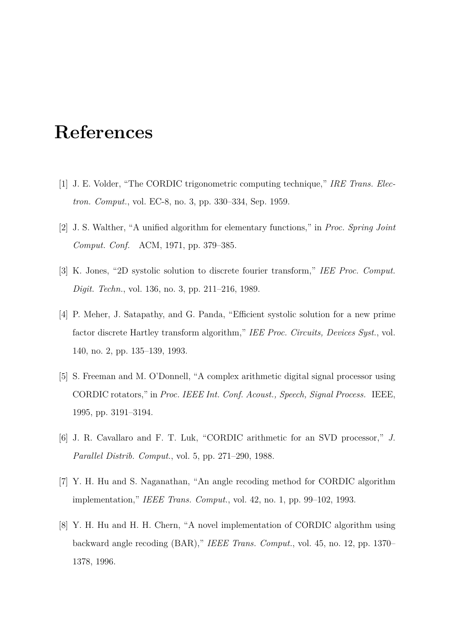## <span id="page-45-0"></span>**References**

- <span id="page-45-1"></span>[1] J. E. Volder, "The CORDIC trigonometric computing technique," *IRE Trans. Electron. Comput.*, vol. EC-8, no. 3, pp. 330–334, Sep. 1959.
- <span id="page-45-2"></span>[2] J. S. Walther, "A unified algorithm for elementary functions," in *Proc. Spring Joint Comput. Conf.* ACM, 1971, pp. 379–385.
- <span id="page-45-3"></span>[3] K. Jones, "2D systolic solution to discrete fourier transform," *IEE Proc. Comput. Digit. Techn.*, vol. 136, no. 3, pp. 211–216, 1989.
- [4] P. Meher, J. Satapathy, and G. Panda, "Efficient systolic solution for a new prime factor discrete Hartley transform algorithm," *IEE Proc. Circuits, Devices Syst.*, vol. 140, no. 2, pp. 135–139, 1993.
- <span id="page-45-4"></span>[5] S. Freeman and M. O'Donnell, "A complex arithmetic digital signal processor using CORDIC rotators," in *Proc. IEEE Int. Conf. Acoust., Speech, Signal Process.* IEEE, 1995, pp. 3191–3194.
- <span id="page-45-5"></span>[6] J. R. Cavallaro and F. T. Luk, "CORDIC arithmetic for an SVD processor," *J. Parallel Distrib. Comput.*, vol. 5, pp. 271–290, 1988.
- <span id="page-45-6"></span>[7] Y. H. Hu and S. Naganathan, "An angle recoding method for CORDIC algorithm implementation," *IEEE Trans. Comput.*, vol. 42, no. 1, pp. 99–102, 1993.
- [8] Y. H. Hu and H. H. Chern, "A novel implementation of CORDIC algorithm using backward angle recoding (BAR)," *IEEE Trans. Comput.*, vol. 45, no. 12, pp. 1370– 1378, 1996.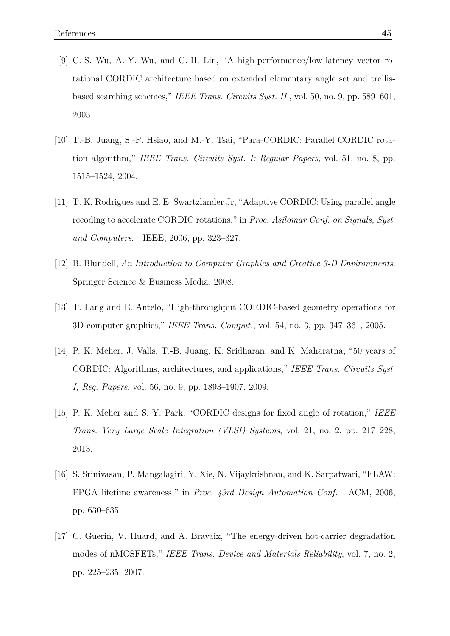- [9] C.-S. Wu, A.-Y. Wu, and C.-H. Lin, "A high-performance/low-latency vector rotational CORDIC architecture based on extended elementary angle set and trellisbased searching schemes," *IEEE Trans. Circuits Syst. II.*, vol. 50, no. 9, pp. 589–601, 2003.
- [10] T.-B. Juang, S.-F. Hsiao, and M.-Y. Tsai, "Para-CORDIC: Parallel CORDIC rotation algorithm," *IEEE Trans. Circuits Syst. I: Regular Papers*, vol. 51, no. 8, pp. 1515–1524, 2004.
- <span id="page-46-0"></span>[11] T. K. Rodrigues and E. E. Swartzlander Jr, "Adaptive CORDIC: Using parallel angle recoding to accelerate CORDIC rotations," in *Proc. Asilomar Conf. on Signals, Syst. and Computers*. IEEE, 2006, pp. 323–327.
- <span id="page-46-1"></span>[12] B. Blundell, *An Introduction to Computer Graphics and Creative 3-D Environments*. Springer Science & Business Media, 2008.
- [13] T. Lang and E. Antelo, "High-throughput CORDIC-based geometry operations for 3D computer graphics," *IEEE Trans. Comput.*, vol. 54, no. 3, pp. 347–361, 2005.
- <span id="page-46-2"></span>[14] P. K. Meher, J. Valls, T.-B. Juang, K. Sridharan, and K. Maharatna, "50 years of CORDIC: Algorithms, architectures, and applications," *IEEE Trans. Circuits Syst. I, Reg. Papers*, vol. 56, no. 9, pp. 1893–1907, 2009.
- <span id="page-46-3"></span>[15] P. K. Meher and S. Y. Park, "CORDIC designs for fixed angle of rotation," *IEEE Trans. Very Large Scale Integration (VLSI) Systems*, vol. 21, no. 2, pp. 217–228, 2013.
- <span id="page-46-4"></span>[16] S. Srinivasan, P. Mangalagiri, Y. Xie, N. Vijaykrishnan, and K. Sarpatwari, "FLAW: FPGA lifetime awareness," in *Proc. 43rd Design Automation Conf.* ACM, 2006, pp. 630–635.
- <span id="page-46-5"></span>[17] C. Guerin, V. Huard, and A. Bravaix, "The energy-driven hot-carrier degradation modes of nMOSFETs," *IEEE Trans. Device and Materials Reliability*, vol. 7, no. 2, pp. 225–235, 2007.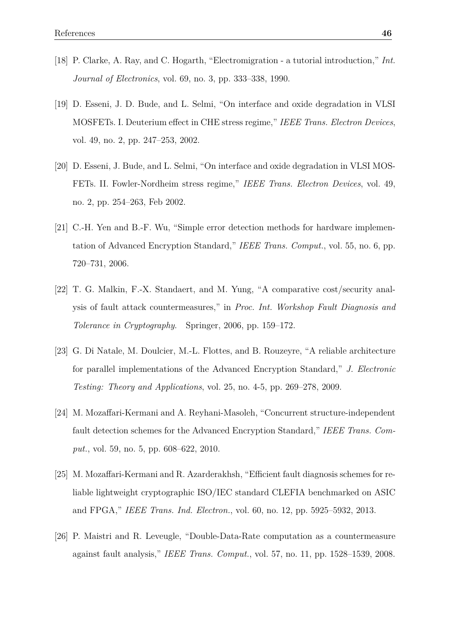- <span id="page-47-0"></span>[18] P. Clarke, A. Ray, and C. Hogarth, "Electromigration - a tutorial introduction," *Int. Journal of Electronics*, vol. 69, no. 3, pp. 333–338, 1990.
- <span id="page-47-1"></span>[19] D. Esseni, J. D. Bude, and L. Selmi, "On interface and oxide degradation in VLSI MOSFETs. I. Deuterium effect in CHE stress regime," *IEEE Trans. Electron Devices*, vol. 49, no. 2, pp. 247–253, 2002.
- <span id="page-47-2"></span>[20] D. Esseni, J. Bude, and L. Selmi, "On interface and oxide degradation in VLSI MOS-FETs. II. Fowler-Nordheim stress regime," *IEEE Trans. Electron Devices*, vol. 49, no. 2, pp. 254–263, Feb 2002.
- <span id="page-47-3"></span>[21] C.-H. Yen and B.-F. Wu, "Simple error detection methods for hardware implementation of Advanced Encryption Standard," *IEEE Trans. Comput.*, vol. 55, no. 6, pp. 720–731, 2006.
- [22] T. G. Malkin, F.-X. Standaert, and M. Yung, "A comparative cost/security analysis of fault attack countermeasures," in *Proc. Int. Workshop Fault Diagnosis and Tolerance in Cryptography*. Springer, 2006, pp. 159–172.
- [23] G. Di Natale, M. Doulcier, M.-L. Flottes, and B. Rouzeyre, "A reliable architecture for parallel implementations of the Advanced Encryption Standard," *J. Electronic Testing: Theory and Applications*, vol. 25, no. 4-5, pp. 269–278, 2009.
- [24] M. Mozaffari-Kermani and A. Reyhani-Masoleh, "Concurrent structure-independent fault detection schemes for the Advanced Encryption Standard," *IEEE Trans. Comput.*, vol. 59, no. 5, pp. 608–622, 2010.
- [25] M. Mozaffari-Kermani and R. Azarderakhsh, "Efficient fault diagnosis schemes for reliable lightweight cryptographic ISO/IEC standard CLEFIA benchmarked on ASIC and FPGA," *IEEE Trans. Ind. Electron.*, vol. 60, no. 12, pp. 5925–5932, 2013.
- [26] P. Maistri and R. Leveugle, "Double-Data-Rate computation as a countermeasure against fault analysis," *IEEE Trans. Comput.*, vol. 57, no. 11, pp. 1528–1539, 2008.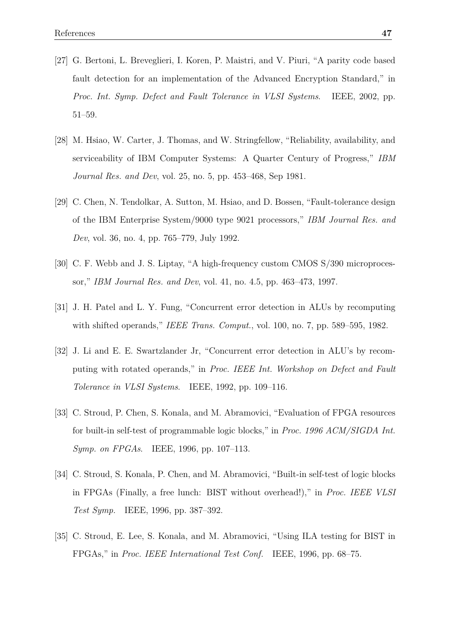- <span id="page-48-0"></span>[27] G. Bertoni, L. Breveglieri, I. Koren, P. Maistri, and V. Piuri, "A parity code based fault detection for an implementation of the Advanced Encryption Standard," in *Proc. Int. Symp. Defect and Fault Tolerance in VLSI Systems*. IEEE, 2002, pp. 51–59.
- <span id="page-48-1"></span>[28] M. Hsiao, W. Carter, J. Thomas, and W. Stringfellow, "Reliability, availability, and serviceability of IBM Computer Systems: A Quarter Century of Progress," *IBM Journal Res. and Dev*, vol. 25, no. 5, pp. 453–468, Sep 1981.
- [29] C. Chen, N. Tendolkar, A. Sutton, M. Hsiao, and D. Bossen, "Fault-tolerance design of the IBM Enterprise System/9000 type 9021 processors," *IBM Journal Res. and Dev*, vol. 36, no. 4, pp. 765–779, July 1992.
- <span id="page-48-2"></span>[30] C. F. Webb and J. S. Liptay, "A high-frequency custom CMOS S/390 microprocessor," *IBM Journal Res. and Dev*, vol. 41, no. 4.5, pp. 463–473, 1997.
- <span id="page-48-3"></span>[31] J. H. Patel and L. Y. Fung, "Concurrent error detection in ALUs by recomputing with shifted operands," *IEEE Trans. Comput.*, vol. 100, no. 7, pp. 589–595, 1982.
- <span id="page-48-4"></span>[32] J. Li and E. E. Swartzlander Jr, "Concurrent error detection in ALU's by recomputing with rotated operands," in *Proc. IEEE Int. Workshop on Defect and Fault Tolerance in VLSI Systems*. IEEE, 1992, pp. 109–116.
- <span id="page-48-5"></span>[33] C. Stroud, P. Chen, S. Konala, and M. Abramovici, "Evaluation of FPGA resources for built-in self-test of programmable logic blocks," in *Proc. 1996 ACM/SIGDA Int. Symp. on FPGAs*. IEEE, 1996, pp. 107–113.
- [34] C. Stroud, S. Konala, P. Chen, and M. Abramovici, "Built-in self-test of logic blocks in FPGAs (Finally, a free lunch: BIST without overhead!)," in *Proc. IEEE VLSI Test Symp.* IEEE, 1996, pp. 387–392.
- [35] C. Stroud, E. Lee, S. Konala, and M. Abramovici, "Using ILA testing for BIST in FPGAs," in *Proc. IEEE International Test Conf.* IEEE, 1996, pp. 68–75.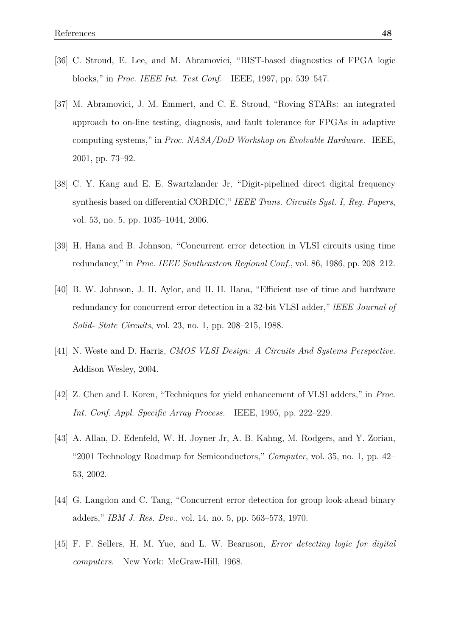- <span id="page-49-0"></span>[36] C. Stroud, E. Lee, and M. Abramovici, "BIST-based diagnostics of FPGA logic blocks," in *Proc. IEEE Int. Test Conf.* IEEE, 1997, pp. 539–547.
- <span id="page-49-1"></span>[37] M. Abramovici, J. M. Emmert, and C. E. Stroud, "Roving STARs: an integrated approach to on-line testing, diagnosis, and fault tolerance for FPGAs in adaptive computing systems," in *Proc. NASA/DoD Workshop on Evolvable Hardware*. IEEE, 2001, pp. 73–92.
- <span id="page-49-2"></span>[38] C. Y. Kang and E. E. Swartzlander Jr, "Digit-pipelined direct digital frequency synthesis based on differential CORDIC," *IEEE Trans. Circuits Syst. I, Reg. Papers*, vol. 53, no. 5, pp. 1035–1044, 2006.
- <span id="page-49-3"></span>[39] H. Hana and B. Johnson, "Concurrent error detection in VLSI circuits using time redundancy," in *Proc. IEEE Southeastcon Regional Conf.*, vol. 86, 1986, pp. 208–212.
- <span id="page-49-4"></span>[40] B. W. Johnson, J. H. Aylor, and H. H. Hana, "Efficient use of time and hardware redundancy for concurrent error detection in a 32-bit VLSI adder," *lEEE Journal of Solid- State Circuits*, vol. 23, no. 1, pp. 208–215, 1988.
- <span id="page-49-5"></span>[41] N. Weste and D. Harris, *CMOS VLSI Design: A Circuits And Systems Perspective*. Addison Wesley, 2004.
- <span id="page-49-6"></span>[42] Z. Chen and I. Koren, "Techniques for yield enhancement of VLSI adders," in *Proc. Int. Conf. Appl. Specific Array Process.* IEEE, 1995, pp. 222–229.
- <span id="page-49-7"></span>[43] A. Allan, D. Edenfeld, W. H. Joyner Jr, A. B. Kahng, M. Rodgers, and Y. Zorian, "2001 Technology Roadmap for Semiconductors," *Computer*, vol. 35, no. 1, pp. 42– 53, 2002.
- <span id="page-49-8"></span>[44] G. Langdon and C. Tang, "Concurrent error detection for group look-ahead binary adders," *IBM J. Res. Dev.*, vol. 14, no. 5, pp. 563–573, 1970.
- [45] F. F. Sellers, H. M. Yue, and L. W. Bearnson, *Error detecting logic for digital computers*. New York: McGraw-Hill, 1968.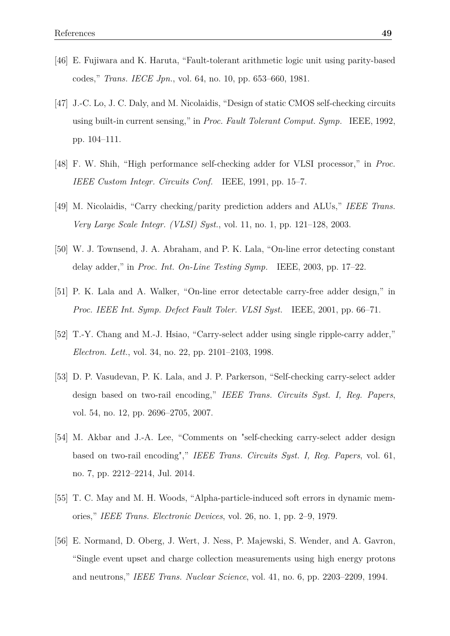- [46] E. Fujiwara and K. Haruta, "Fault-tolerant arithmetic logic unit using parity-based codes," *Trans. IECE Jpn.*, vol. 64, no. 10, pp. 653–660, 1981.
- [47] J.-C. Lo, J. C. Daly, and M. Nicolaidis, "Design of static CMOS self-checking circuits using built-in current sensing," in *Proc. Fault Tolerant Comput. Symp.* IEEE, 1992, pp. 104–111.
- [48] F. W. Shih, "High performance self-checking adder for VLSI processor," in *Proc. IEEE Custom Integr. Circuits Conf.* IEEE, 1991, pp. 15–7.
- [49] M. Nicolaidis, "Carry checking/parity prediction adders and ALUs," *IEEE Trans. Very Large Scale Integr. (VLSI) Syst.*, vol. 11, no. 1, pp. 121–128, 2003.
- [50] W. J. Townsend, J. A. Abraham, and P. K. Lala, "On-line error detecting constant delay adder," in *Proc. Int. On-Line Testing Symp.* IEEE, 2003, pp. 17–22.
- [51] P. K. Lala and A. Walker, "On-line error detectable carry-free adder design," in *Proc. IEEE Int. Symp. Defect Fault Toler. VLSI Syst.* IEEE, 2001, pp. 66–71.
- <span id="page-50-0"></span>[52] T.-Y. Chang and M.-J. Hsiao, "Carry-select adder using single ripple-carry adder," *Electron. Lett.*, vol. 34, no. 22, pp. 2101–2103, 1998.
- <span id="page-50-1"></span>[53] D. P. Vasudevan, P. K. Lala, and J. P. Parkerson, "Self-checking carry-select adder design based on two-rail encoding," *IEEE Trans. Circuits Syst. I, Reg. Papers*, vol. 54, no. 12, pp. 2696–2705, 2007.
- <span id="page-50-2"></span>[54] M. Akbar and J.-A. Lee, "Comments on "self-checking carry-select adder design based on two-rail encoding"," *IEEE Trans. Circuits Syst. I, Reg. Papers*, vol. 61, no. 7, pp. 2212–2214, Jul. 2014.
- <span id="page-50-3"></span>[55] T. C. May and M. H. Woods, "Alpha-particle-induced soft errors in dynamic memories," *IEEE Trans. Electronic Devices*, vol. 26, no. 1, pp. 2–9, 1979.
- <span id="page-50-4"></span>[56] E. Normand, D. Oberg, J. Wert, J. Ness, P. Majewski, S. Wender, and A. Gavron, "Single event upset and charge collection measurements using high energy protons and neutrons," *IEEE Trans. Nuclear Science*, vol. 41, no. 6, pp. 2203–2209, 1994.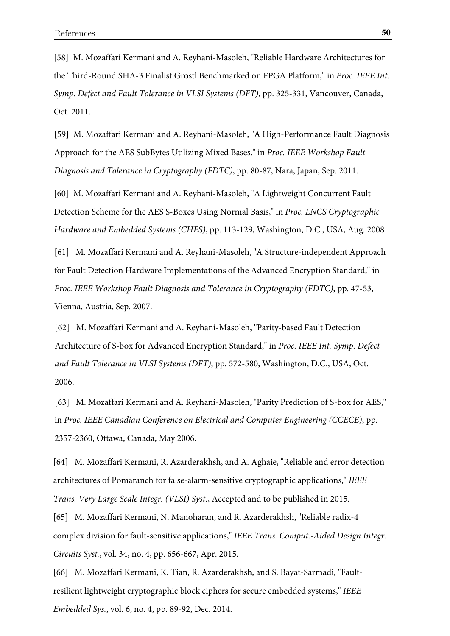[58] M. Mozaffari Kermani and A. Reyhani-Masoleh, "Reliable Hardware Architectures for the Third-Round SHA-3 Finalist Grostl Benchmarked on FPGA Platform," in *Proc. IEEE Int. Symp. Defect and Fault Tolerance in VLSI Systems (DFT)*, pp. 325-331, Vancouver, Canada, Oct. 2011.

[59] M. Mozaffari Kermani and A. Reyhani-Masoleh, "A High-Performance Fault Diagnosis Approach for the AES SubBytes Utilizing Mixed Bases," in *Proc. IEEE Workshop Fault Diagnosis and Tolerance in Cryptography (FDTC)*, pp. 80-87, Nara, Japan, Sep. 2011.

[60] M. Mozaffari Kermani and A. Reyhani-Masoleh, "A Lightweight Concurrent Fault Detection Scheme for the AES S-Boxes Using Normal Basis," in *Proc. LNCS Cryptographic Hardware and Embedded Systems (CHES)*, pp. 113-129, Washington, D.C., USA, Aug. 2008

[61] M. Mozaffari Kermani and A. Reyhani-Masoleh, "A Structure-independent Approach for Fault Detection Hardware Implementations of the Advanced Encryption Standard," in *Proc. IEEE Workshop Fault Diagnosis and Tolerance in Cryptography (FDTC)*, pp. 47-53, Vienna, Austria, Sep. 2007.

[62] M. Mozaffari Kermani and A. Reyhani-Masoleh, "Parity-based Fault Detection Architecture of S-box for Advanced Encryption Standard," in *Proc. IEEE Int. Symp. Defect and Fault Tolerance in VLSI Systems (DFT)*, pp. 572-580, Washington, D.C., USA, Oct. 2006.

[63] M. Mozaffari Kermani and A. Reyhani-Masoleh, "Parity Prediction of S-box for AES," in *Proc. IEEE Canadian Conference on Electrical and Computer Engineering (CCECE)*, pp. 2357-2360, Ottawa, Canada, May 2006.

[64] M. Mozaffari Kermani, R. Azarderakhsh, and A. Aghaie, "Reliable and error detection architectures of Pomaranch for false-alarm-sensitive cryptographic applications," *IEEE Trans. Very Large Scale Integr. (VLSI) Syst.*, Accepted and to be published in 2015.

[65] M. Mozaffari Kermani, N. Manoharan, and R. Azarderakhsh, "Reliable radix-4 complex division for fault-sensitive applications," *IEEE Trans. Comput.-Aided Design Integr. Circuits Syst.*, vol. 34, no. 4, pp. 656-667, Apr. 2015.

[66] M. Mozaffari Kermani, K. Tian, R. Azarderakhsh, and S. Bayat-Sarmadi, "Faultresilient lightweight cryptographic block ciphers for secure embedded systems," *IEEE Embedded Sys.*, vol. 6, no. 4, pp. 89-92, Dec. 2014.